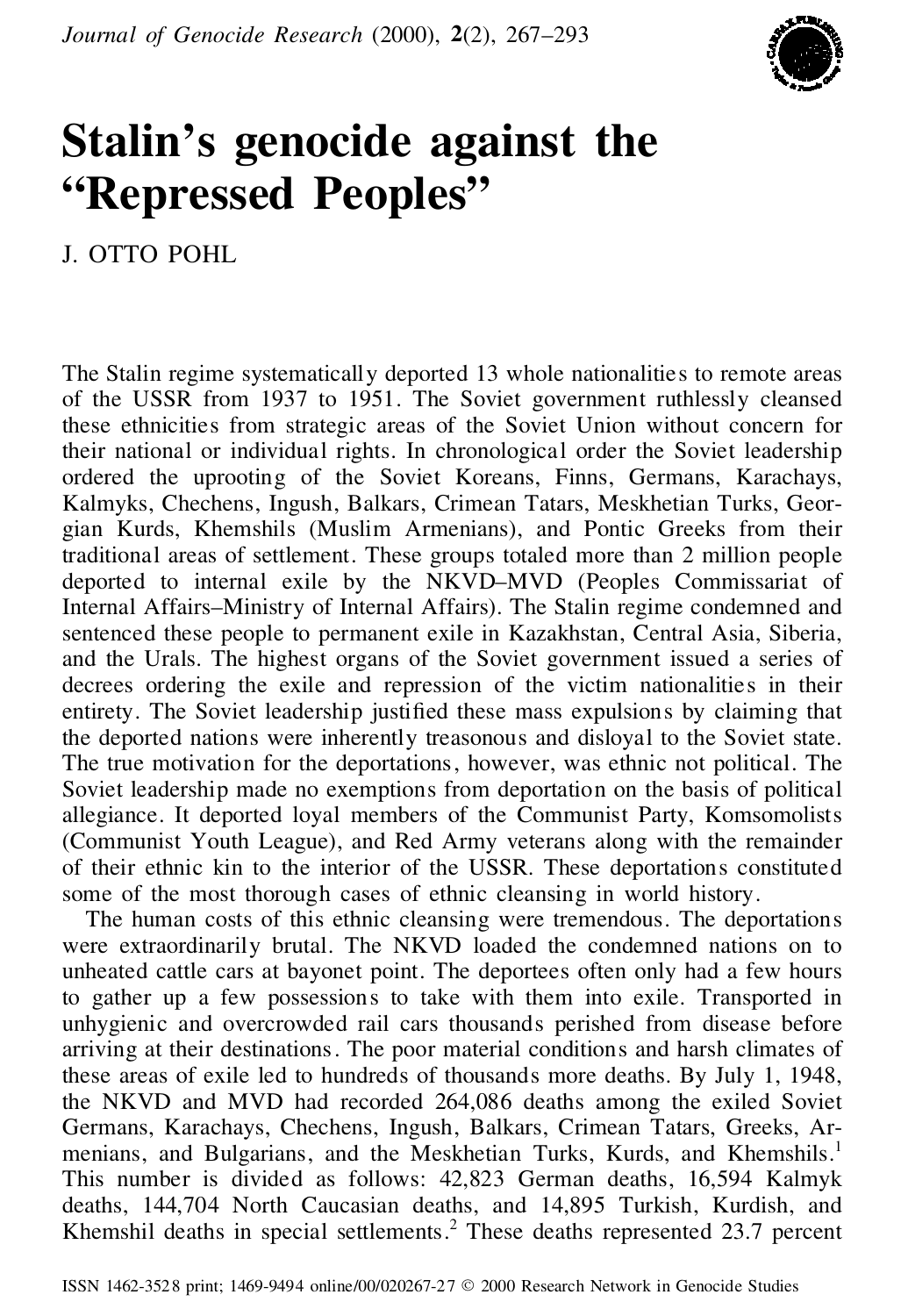

## **Stalin's genocide against the "Repressed Peoples"**

J. OTTO POHL

The Stalin regime systematically deported 13 whole nationalities to remote areas of the USSR from 1937 to 1951. The Soviet government ruthlessly cleansed these ethnicities from strategic areas of the Soviet Union without concern for their national or individual rights. In chronological order the Soviet leadership ordered the uprooting of the Soviet Koreans, Finns, Germans, Karachays, Kalmyks, Chechens, Ingush, Balkars, Crimean Tatars, Meskhetian Turks, Geor gian Kurds, Khemshils (Muslim Armenians), and Pontic Greeks from their traditional areas of settlement. These groups totaled more than 2 million people deported to internal exile by the NKVD–MVD (Peoples Commissariat of Internal Affairs–Ministry of Internal Affairs). The Stalin regime condemned and sentenced these people to permanent exile in Kazakhstan, Central Asia, Siberia, and the Urals. The highest organs of the Soviet government issued a series of decrees ordering the exile and repression of the victim nationalities in their entirety. The Soviet leadership justified these mass expulsions by claiming that the deported nations were inherently treasonous and disloyal to the Soviet state. The true motivation for the deportations, however, was ethnic not political. The Soviet leadership made no exemptions from deportation on the basis of political allegiance. It deported loyal members of the Communist Party, Komsomolists (Communist Youth League), and Red Army veterans along with the remainder of their ethnic kin to the interior of the USSR. These deportations constituted some of the most thorough cases of ethnic cleansing in world history.

The human costs of this ethnic cleansing were tremendous. The deportations were extraordinarily brutal. The NKVD loaded the condemned nations on to unheated cattle cars at bayonet point. The deportees often only had a few hours to gather up a few possessions to take with them into exile. Transported in unhygienic and overcrowded rail cars thousands perished from disease before arriving at their destinations. The poor material conditions and harsh climates of these areas of exile led to hundreds of thousands more deaths. By July 1, 1948, the NKVD and MVD had recorded 264,086 deaths among the exiled Soviet Germans, Karachays, Chechens, Ingush, Balkars, Crimean Tatars, Greeks, Ar menians, and Bulgarians, and the Meskhetian Turks, Kurds, and Khemshils.<sup>1</sup> This number is divided as follows: 42,823 German deaths, 16,594 Kalmyk deaths, 144,704 North Caucasian deaths, and 14,895 Turkish, Kurdish, and Khemshil deaths in special settlements.<sup>2</sup> These deaths represented 23.7 percent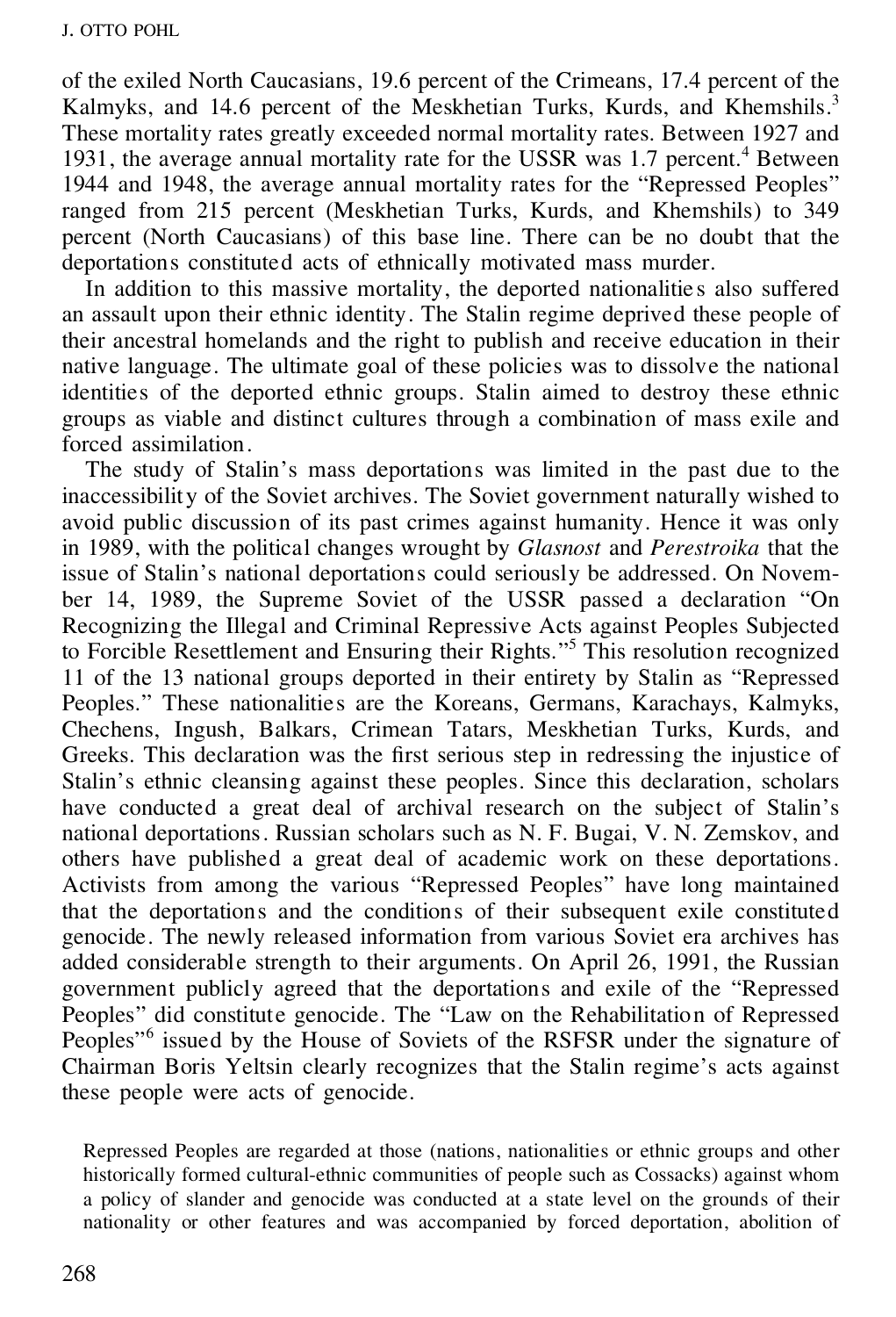of the exiled North Caucasians, 19.6 percent of the Crimeans, 17.4 percent of the Kalmyks, and 14.6 percent of the Meskhetian Turks, Kurds, and Khemshils.<sup>3</sup> These mortality rates greatly exceeded normal mortality rates. Between 1927 and 1931, the average annual mortality rate for the USSR was 1.7 percent.<sup>4</sup> Between 1944 and 1948, the average annual mortality rates for the "Repressed Peoples" ranged from 215 percent (Meskhetian Turks, Kurds, and Khemshils) to 349 percent (North Caucasians) of this base line. There can be no doubt that the deportations constituted acts of ethnically motivated mass murder.

In addition to this massive mortality, the deported nationalities also suffered an assault upon their ethnic identity. The Stalin regime deprived these people of their ancestral homelands and the right to publish and receive education in their native language. The ultimate goal of these policies was to dissolve the national identities of the deported ethnic groups. Stalin aimed to destroy these ethnic groups as viable and distinct cultures through a combination of mass exile and forced assimilation.

The study of Stalin's mass deportations was limited in the past due to the inaccessibility of the Soviet archives. The Soviet government naturally wished to avoid public discussion of its past crimes against humanity. Hence it was only in 1989, with the political changes wrought by *Glasnost* and *Perestroika* that the issue of Stalin's national deportations could seriously be addressed. On Novem ber 14, 1989, the Supreme Soviet of the USSR passed a declaration "On Recognizing the Illegal and Criminal Repressive Acts against Peoples Subjected to Forcible Resettlement and Ensuring their Rights." <sup>5</sup> This resolution recognized 11 of the 13 national groups deported in their entirety by Stalin as "Repressed Peoples." These nationalities are the Koreans, Germans, Karachays, Kalmyks, Chechens, Ingush, Balkars, Crimean Tatars, Meskhetian Turks, Kurds, and Greeks. This declaration was the first serious step in redressing the injustice of Stalin's ethnic cleansing against these peoples. Since this declaration, scholars have conducted a great deal of archival research on the subject of Stalin's national deportations. Russian scholars such as N. F. Bugai, V. N. Zemskov, and others have published a great deal of academic work on these deportations. Activists from among the various "Repressed Peoples" have long maintained that the deportations and the conditions of their subsequent exile constituted genocide. The newly released information from various Soviet era archives has added considerable strength to their arguments. On April 26, 1991, the Russian government publicly agreed that the deportations and exile of the "Repressed Peoples" did constitute genocide. The "Law on the Rehabilitation of Repressed Peoples<sup>"6</sup> issued by the House of Soviets of the RSFSR under the signature of Chairman Boris Yeltsin clearly recognizes that the Stalin regime's acts against these people were acts of genocide.

Repressed Peoples are regarded at those (nations, nationalities or ethnic groups and other historically formed cultural-ethnic communities of people such as Cossacks) against whom a policy of slander and genocide was conducted at a state level on the grounds of their nationality or other features and was accompanied by forced deportation, abolition of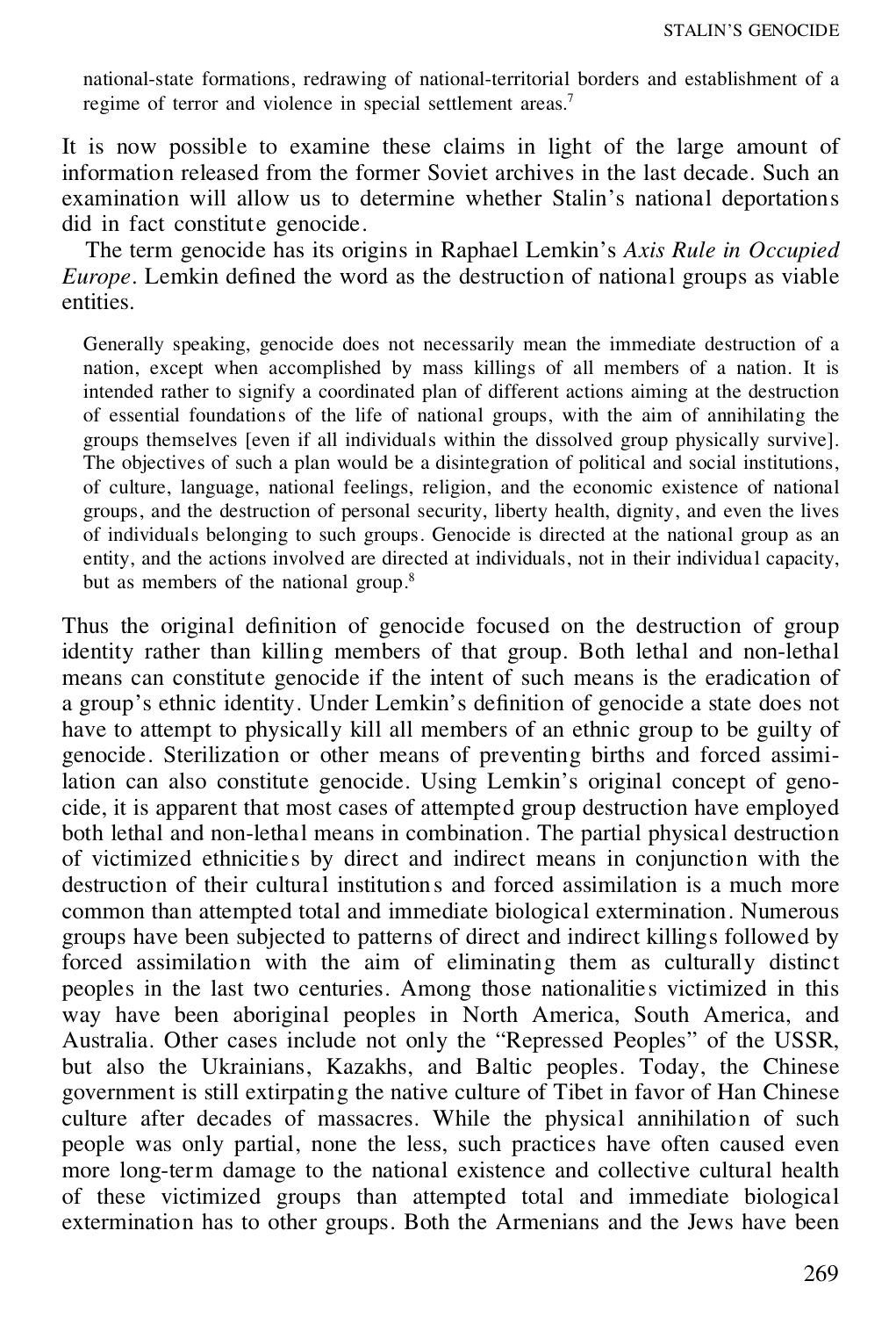national-state formations, redrawing of national-territorial borders and establishment of a regime of terror and violence in special settlement areas.<sup>7</sup>

It is now possible to examine these claims in light of the large amount of information released from the former Soviet archives in the last decade. Such an examination will allow us to determine whether Stalin's national deportations did in fact constitute genocide.

The term genocide has its origins in Raphael Lemkin's *Axis Rule in Occupied Europe*. Lemkin defined the word as the destruction of national groups as viable entities.

Generally speaking, genocide does not necessarily mean the immediate destruction of a nation, except when accomplished by mass killings of all members of a nation. It is intended rather to signify a coordinated plan of different actions aiming at the destruction of essential foundations of the life of national groups, with the aim of annihilating the groups themselves [even if all individuals within the dissolved group physically survive]. The objectives of such a plan would be a disintegration of political and social institutions, of culture, language, national feelings, religion, and the economic existence of national groups, and the destruction of personal security, liberty health, dignity, and even the lives of individuals belonging to such groups. Genocide is directed at the national group as an entity, and the actions involved are directed at individuals, not in their individual capacity, but as members of the national group.<sup>8</sup>

Thus the original definition of genocide focused on the destruction of group identity rather than killing members of that group. Both lethal and non-lethal means can constitute genocide if the intent of such means is the eradication of a group's ethnic identity. Under Lemkin's definition of genocide a state does not have to attempt to physically kill all members of an ethnic group to be guilty of genocide. Sterilization or other means of preventing births and forced assimilation can also constitute genocide. Using Lemkin's original concept of geno cide, it is apparent that most cases of attempted group destruction have employed both lethal and non-lethal means in combination. The partial physical destruction of victimized ethnicities by direct and indirect means in conjunction with the destruction of their cultural institution s and forced assimilation is a much more common than attempted total and immediate biological extermination. Numerous groups have been subjected to patterns of direct and indirect killings followed by forced assimilation with the aim of eliminating them as culturally distinct peoples in the last two centuries. Among those nationalities victimized in this way have been aboriginal peoples in North America, South America, and Australia. Other cases include not only the "Repressed Peoples" of the USSR, but also the Ukrainians, Kazakhs, and Baltic peoples. Today, the Chinese government is still extirpating the native culture of Tibet in favor of Han Chinese culture after decades of massacres. While the physical annihilation of such people was only partial, none the less, such practices have often caused even more long-term damage to the national existence and collective cultural health of these victimized groups than attempted total and immediate biological extermination has to other groups. Both the Armenians and the Jews have been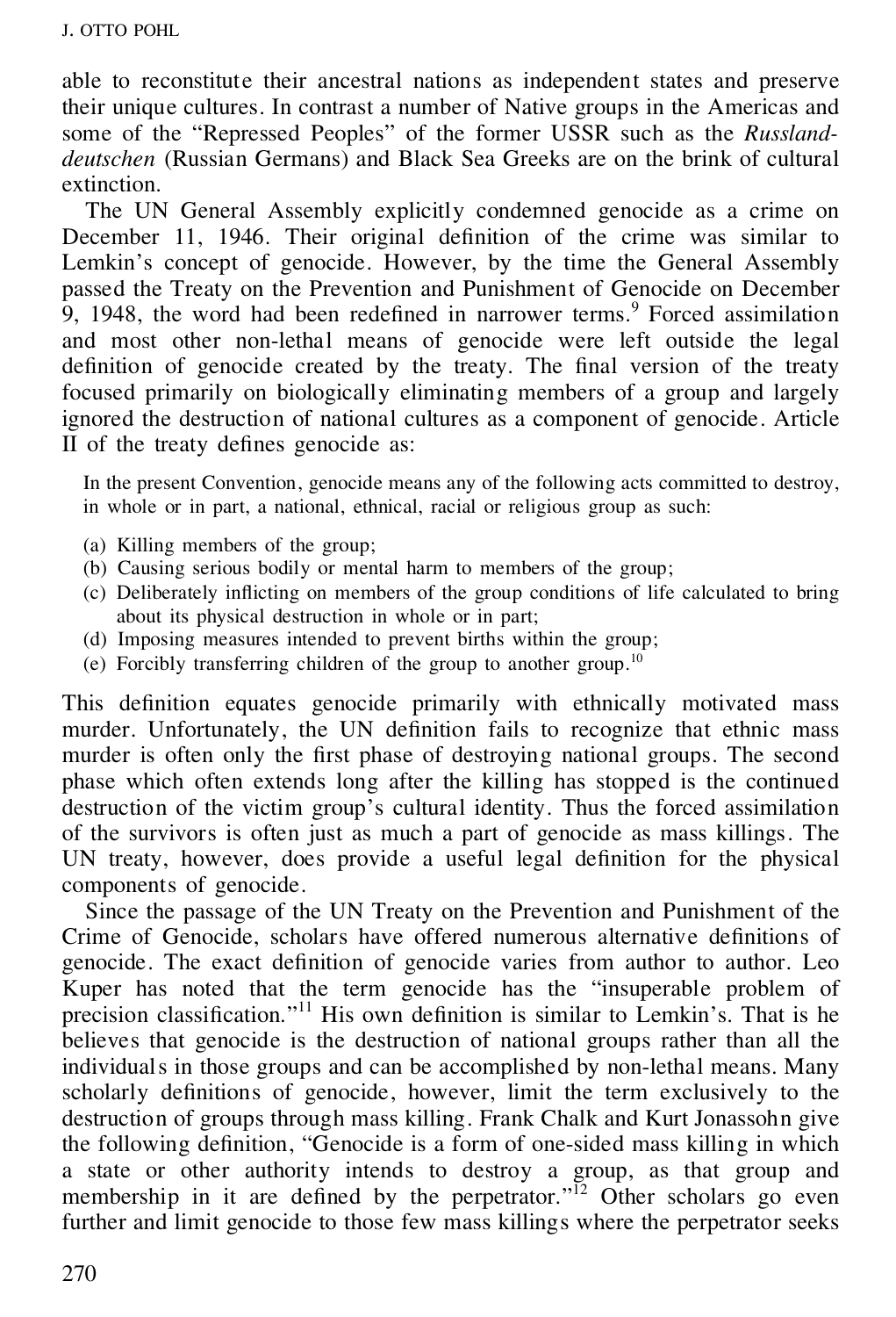able to reconstitute their ancestral nations as independent states and preserve their unique cultures. In contrast a number of Native groups in the Americas and some of the "Repressed Peoples" of the former USSR such as the *Russlanddeutschen* (Russian Germans) and Black Sea Greeks are on the brink of cultural extinction.

The UN General Assembly explicitly condemned genocide as a crime on December 11, 1946. Their original definition of the crime was similar to Lemkin's concept of genocide. However, by the time the General Assembly passed the Treaty on the Prevention and Punishment of Genocide on December 9, 1948, the word had been redefined in narrower terms.<sup>9</sup> Forced assimilation and most other non-lethal means of genocide were left outside the legal definition of genocide created by the treaty. The final version of the treaty focused primarily on biologically eliminating members of a group and largely ignored the destruction of national cultures as a component of genocide. Article II of the treaty defines genocide as:

In the present Convention, genocide means any of the following acts committed to destroy, in whole or in part, a national, ethnical, racial or religious group as such:

- (a) Killing members of the group;
- (b) Causing serious bodily or mental harm to members of the group;
- (c) Deliberately in icting on members of the group conditions of life calculated to bring about its physical destruction in whole or in part;
- (d) Imposing measures intended to prevent births within the group;
- (e) Forcibly transferring children of the group to another group.<sup>10</sup>

This definition equates genocide primarily with ethnically motivated mass murder. Unfortunately, the UN definition fails to recognize that ethnic mass murder is often only the first phase of destroying national groups. The second phase which often extends long after the killing has stopped is the continued destruction of the victim group's cultural identity. Thus the forced assimilation of the survivors is often just as much a part of genocide as mass killings. The UN treaty, however, does provide a useful legal definition for the physical components of genocide.

Since the passage of the UN Treaty on the Prevention and Punishment of the Crime of Genocide, scholars have offered numerous alternative definitions of genocide. The exact definition of genocide varies from author to author. Leo Kuper has noted that the term genocide has the "insuperable problem of precision classification."<sup>11</sup> His own definition is similar to Lemkin's. That is he believes that genocide is the destruction of national groups rather than all the individuals in those groups and can be accomplished by non-lethal means. Many scholarly definitions of genocide, however, limit the term exclusively to the destruction of groups through mass killing. Frank Chalk and Kurt Jonassohn give the following definition, "Genocide is a form of one-sided mass killing in which a state or other authority intends to destroy a group, as that group and membership in it are defined by the perpetrator."<sup>12</sup> Other scholars go even further and limit genocide to those few mass killings where the perpetrator seeks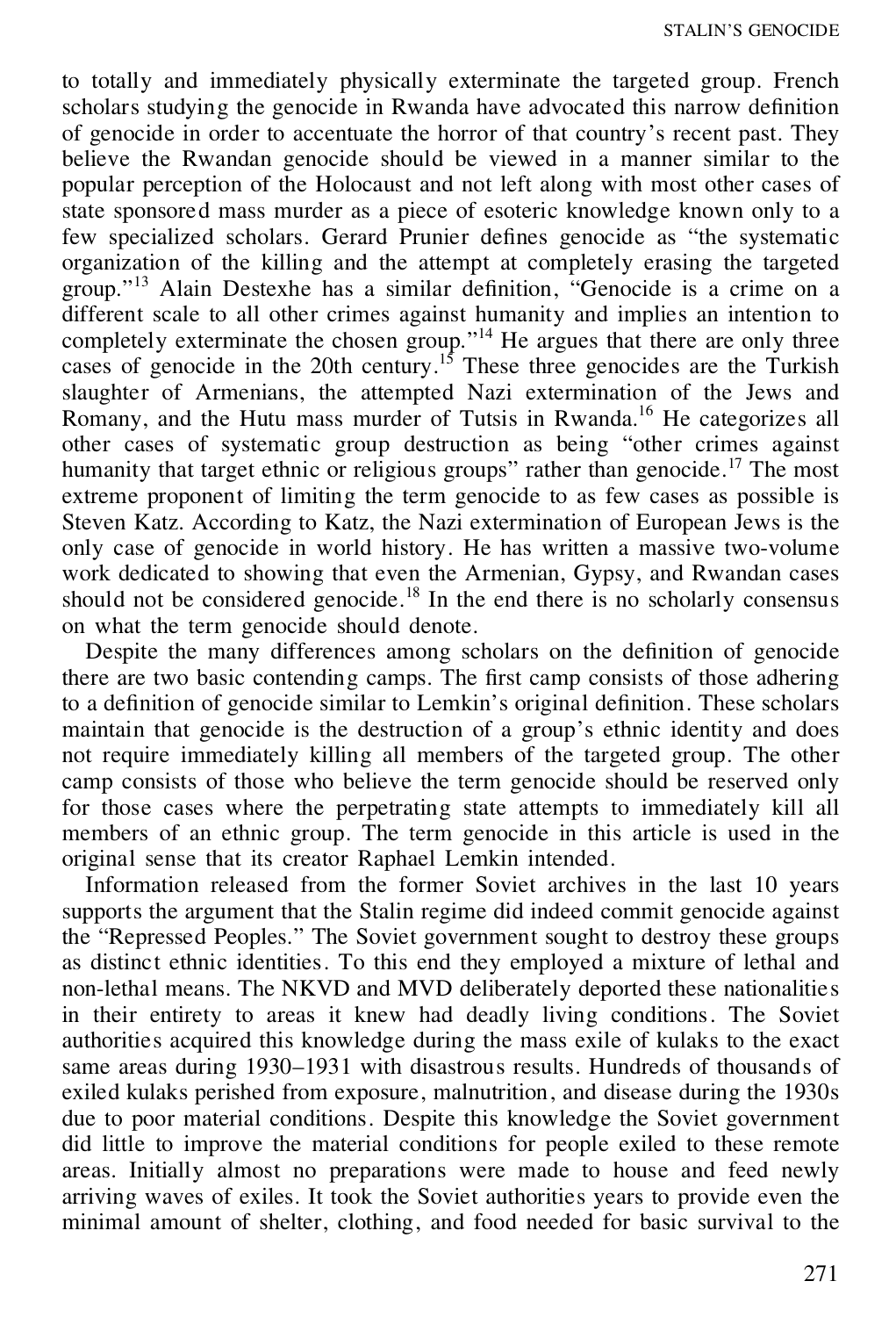to totally and immediately physically exterminate the targeted group. French scholars studying the genocide in Rwanda have advocated this narrow definition of genocide in order to accentuate the horror of that country's recent past. They believe the Rwandan genocide should be viewed in a manner similar to the popular perception of the Holocaust and not left along with most other cases of state sponsored mass murder as a piece of esoteric knowledge known only to a few specialized scholars. Gerard Prunier defines genocide as "the systematic organization of the killing and the attempt at completely erasing the targeted group."<sup>13</sup> Alain Destexhe has a similar definition, "Genocide is a crime on a different scale to all other crimes against humanity and implies an intention to completely exterminate the chosen group."<sup>14</sup> He argues that there are only three cases of genocide in the 20th century.<sup>15</sup> These three genocides are the Turkish slaughter of Armenians, the attempted Nazi extermination of the Jews and Romany, and the Hutu mass murder of Tutsis in Rwanda.<sup>16</sup> He categorizes all other cases of systematic group destruction as being "other crimes against humanity that target ethnic or religious groups" rather than genocide.<sup>17</sup> The most extreme proponent of limiting the term genocide to as few cases as possible is Steven Katz. According to Katz, the Nazi extermination of European Jews is the only case of genocide in world history. He has written a massive two-volume work dedicated to showing that even the Armenian, Gypsy, and Rwandan cases should not be considered genocide.<sup>18</sup> In the end there is no scholarly consensus on what the term genocide should denote.

Despite the many differences among scholars on the definition of genocide there are two basic contending camps. The first camp consists of those adhering to a definition of genocide similar to Lemkin's original definition. These scholars maintain that genocide is the destruction of a group's ethnic identity and does not require immediately killing all members of the targeted group. The other camp consists of those who believe the term genocide should be reserved only for those cases where the perpetrating state attempts to immediately kill all members of an ethnic group. The term genocide in this article is used in the original sense that its creator Raphael Lemkin intended.

Information released from the former Soviet archives in the last 10 years supports the argument that the Stalin regime did indeed commit genocide against the "Repressed Peoples." The Soviet government sought to destroy these groups as distinct ethnic identities. To this end they employed a mixture of lethal and non-lethal means. The NKVD and MVD deliberately deported these nationalities in their entirety to areas it knew had deadly living conditions. The Soviet authorities acquired this knowledge during the mass exile of kulaks to the exact same areas during 1930–1931 with disastrous results. Hundreds of thousands of exiled kulaks perished from exposure, malnutrition, and disease during the 1930s due to poor material conditions. Despite this knowledge the Soviet government did little to improve the material conditions for people exiled to these remote areas. Initially almost no preparations were made to house and feed newly arriving waves of exiles. It took the Soviet authorities years to provide even the minimal amount of shelter, clothing, and food needed for basic survival to the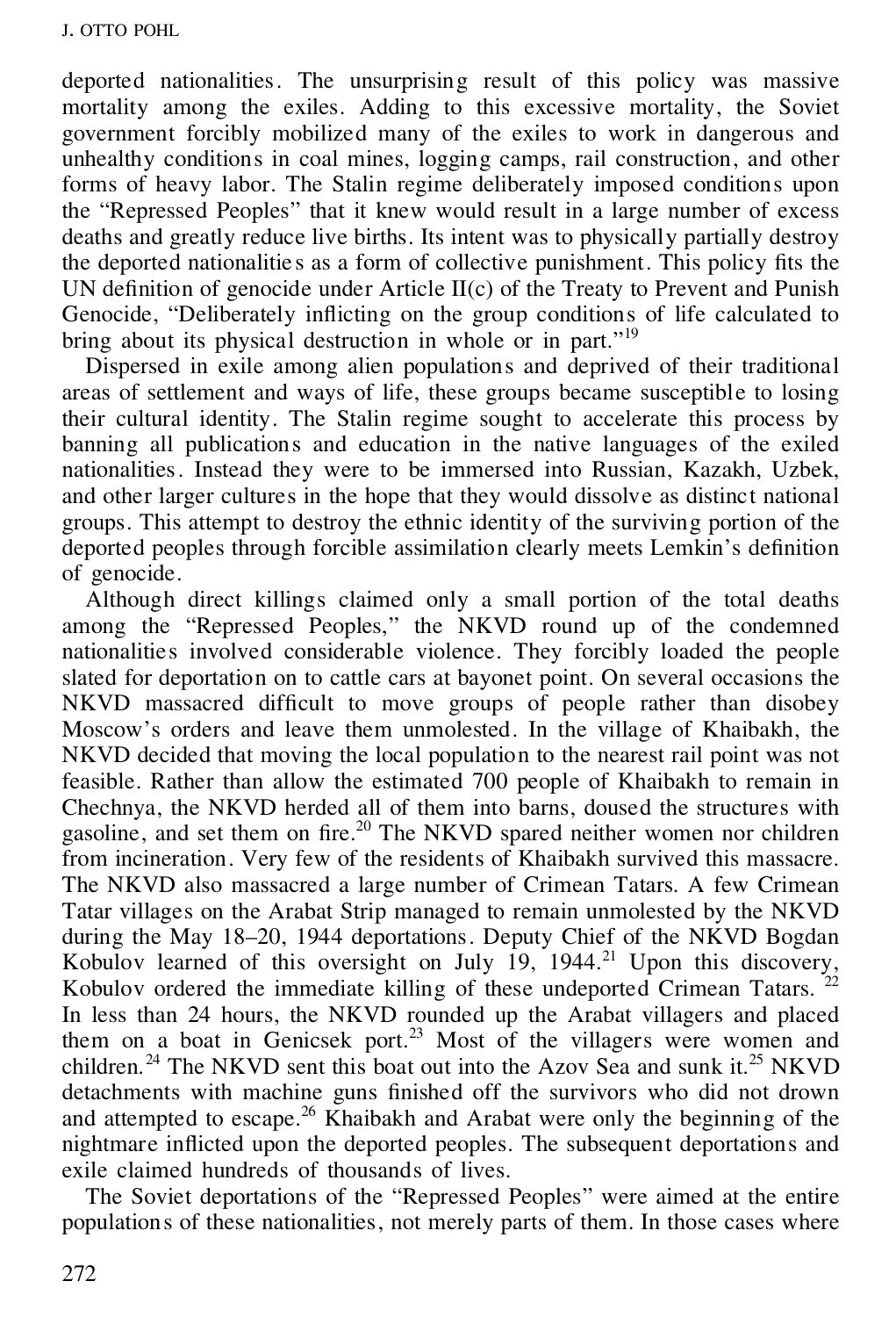deported nationalities. The unsurprising result of this policy was massive mortality among the exiles. Adding to this excessive mortality, the Soviet government forcibly mobilized many of the exiles to work in dangerous and unhealthy conditions in coal mines, logging camps, rail construction, and other forms of heavy labor. The Stalin regime deliberately imposed conditions upon the "Repressed Peoples" that it knew would result in a large number of excess deaths and greatly reduce live births. Its intent was to physically partially destroy the deported nationalities as a form of collective punishment. This policy fits the UN definition of genocide under Article  $II(c)$  of the Treaty to Prevent and Punish Genocide, "Deliberately inflicting on the group conditions of life calculated to bring about its physical destruction in whole or in part."<sup>19</sup>

Dispersed in exile among alien populations and deprived of their traditional areas of settlement and ways of life, these groups became susceptible to losing their cultural identity. The Stalin regime sought to accelerate this process by banning all publications and education in the native languages of the exiled nationalities. Instead they were to be immersed into Russian, Kazakh, Uzbek, and other larger cultures in the hope that they would dissolve as distinct national groups. This attempt to destroy the ethnic identity of the surviving portion of the deported peoples through forcible assimilation clearly meets Lemkin's definition of genocide.

Although direct killings claimed only a small portion of the total deaths among the "Repressed Peoples," the NKVD round up of the condemned nationalities involved considerable violence. They forcibly loaded the people slated for deportation on to cattle cars at bayonet point. On several occasions the  $NKVD$  massacred difficult to move groups of people rather than disobey Moscow's orders and leave them unmolested. In the village of Khaibakh, the NKVD decided that moving the local population to the nearest rail point was not feasible. Rather than allow the estimated 700 people of Khaibakh to remain in Chechnya, the NKVD herded all of them into barns, doused the structures with gasoline, and set them on fire.<sup>20</sup> The NKVD spared neither women nor children from incineration. Very few of the residents of Khaibakh survived this massacre. The NKVD also massacred a large number of Crimean Tatars. A few Crimean Tatar villages on the Arabat Strip managed to remain unmolested by the NKVD during the May 18–20, 1944 deportations. Deputy Chief of the NKVD Bogdan Kobulov learned of this oversight on July  $19$ ,  $1944$ <sup>21</sup> Upon this discovery, Kobulov ordered the immediate killing of these undeported Crimean Tatars.  $22$ In less than 24 hours, the NKVD rounded up the Arabat villagers and placed them on a boat in Genicsek port.<sup>23</sup> Most of the villagers were women and children.<sup>24</sup> The NKVD sent this boat out into the Azov Sea and sunk it.<sup>25</sup> NKVD detachments with machine guns finished off the survivors who did not drown and attempted to escape.<sup>26</sup> Khaibakh and Arabat were only the beginning of the nightmare inflicted upon the deported peoples. The subsequent deportations and exile claimed hundreds of thousands of lives.

The Soviet deportations of the "Repressed Peoples" were aimed at the entire populations of these nationalities, not merely parts of them. In those cases where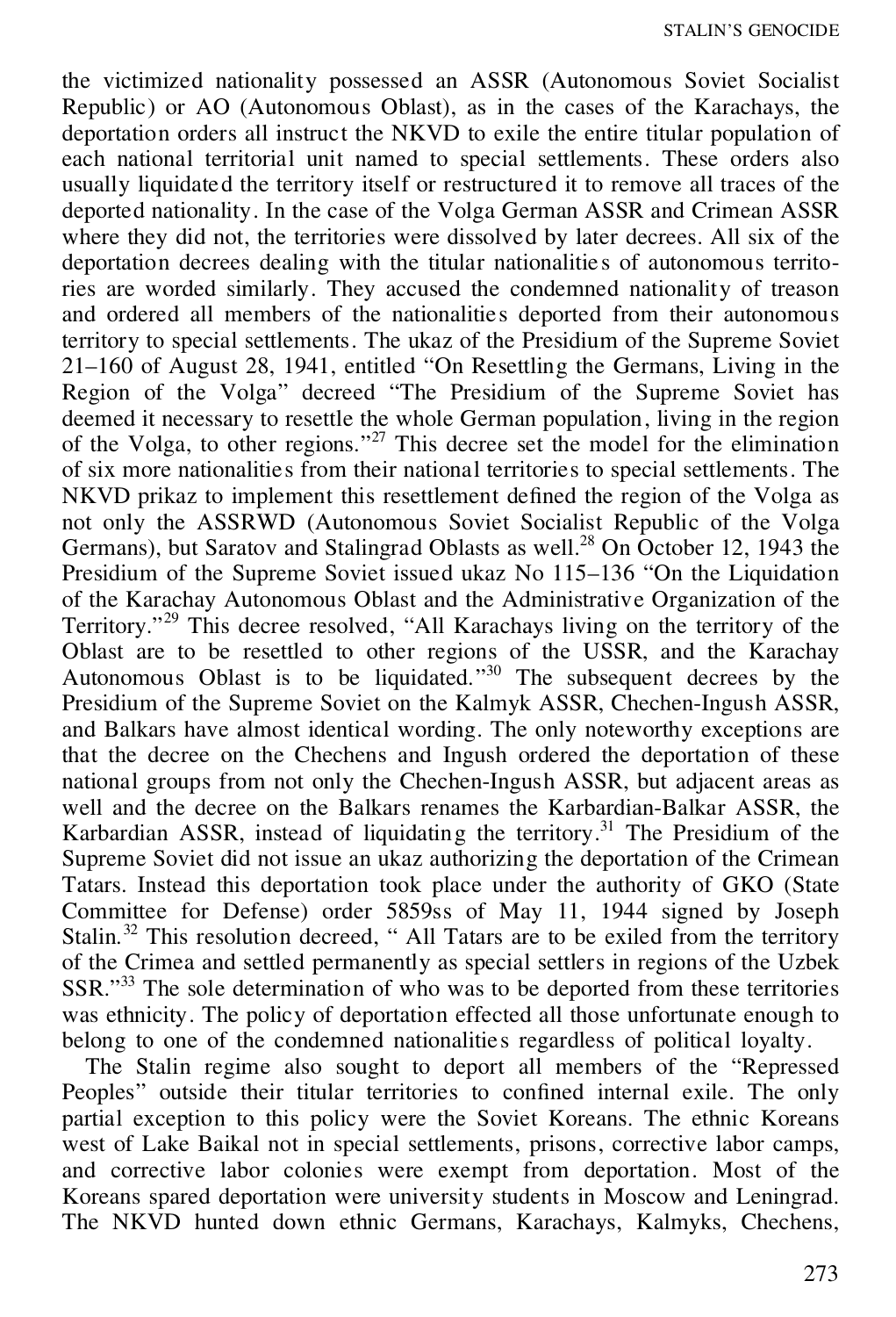the victimized nationality possessed an ASSR (Autonomous Soviet Socialist Republic) or AO (Autonomous Oblast), as in the cases of the Karachays, the deportation orders all instruct the NKVD to exile the entire titular population of each national territorial unit named to special settlements. These orders also usually liquidated the territory itself or restructured it to remove all traces of the deported nationality. In the case of the Volga German ASSR and Crimean ASSR where they did not, the territories were dissolved by later decrees. All six of the deportation decrees dealing with the titular nationalitie s of autonomous territories are worded similarly. They accused the condemned nationality of treason and ordered all members of the nationalities deported from their autonomous territory to special settlements. The ukaz of the Presidium of the Supreme Soviet 21–160 of August 28, 1941, entitled "On Resettling the Germans, Living in the Region of the Volga" decreed "The Presidium of the Supreme Soviet has deemed it necessary to resettle the whole German population, living in the region of the Volga, to other regions." <sup>27</sup> This decree set the model for the elimination of six more nationalities from their national territories to special settlements. The NKVD prikaz to implement this resettlement defined the region of the Volga as not only the ASSRWD (Autonomous Soviet Socialist Republic of the Volga Germans), but Saratov and Stalingrad Oblasts as well.<sup>28</sup> On October 12, 1943 the Presidium of the Supreme Soviet issued ukaz No 115–136 "On the Liquidation" of the Karachay Autonomous Oblast and the Administrative Organization of the Territory."<sup>29</sup> This decree resolved, "All Karachays living on the territory of the Oblast are to be resettled to other regions of the USSR, and the Karachay Autonomous Oblast is to be liquidated." <sup>30</sup> The subsequent decrees by the Presidium of the Supreme Soviet on the Kalmyk ASSR, Chechen-Ingush ASSR, and Balkars have almost identical wording. The only noteworthy exceptions are that the decree on the Chechens and Ingush ordered the deportation of these national groups from not only the Chechen-Ingush ASSR, but adjacent areas as well and the decree on the Balkars renames the Karbardian-Balkar ASSR, the Karbardian ASSR, instead of liquidating the territory.<sup>31</sup> The Presidium of the Supreme Soviet did not issue an ukaz authorizing the deportation of the Crimean Tatars. Instead this deportation took place under the authority of GKO (State Committee for Defense) order 5859ss of May 11, 1944 signed by Joseph Stalin.<sup>32</sup> This resolution decreed, " All Tatars are to be exiled from the territory of the Crimea and settled permanently as special settlers in regions of the Uzbek SSR."<sup>33</sup> The sole determination of who was to be deported from these territories was ethnicity. The policy of deportation effected all those unfortunate enough to belong to one of the condemned nationalities regardless of political loyalty.

The Stalin regime also sought to deport all members of the "Repressed Peoples" outside their titular territories to confined internal exile. The only partial exception to this policy were the Soviet Koreans. The ethnic Koreans west of Lake Baikal not in special settlements, prisons, corrective labor camps, and corrective labor colonies were exempt from deportation. Most of the Koreans spared deportation were university students in Moscow and Leningrad. The NKVD hunted down ethnic Germans, Karachays, Kalmyks, Chechens,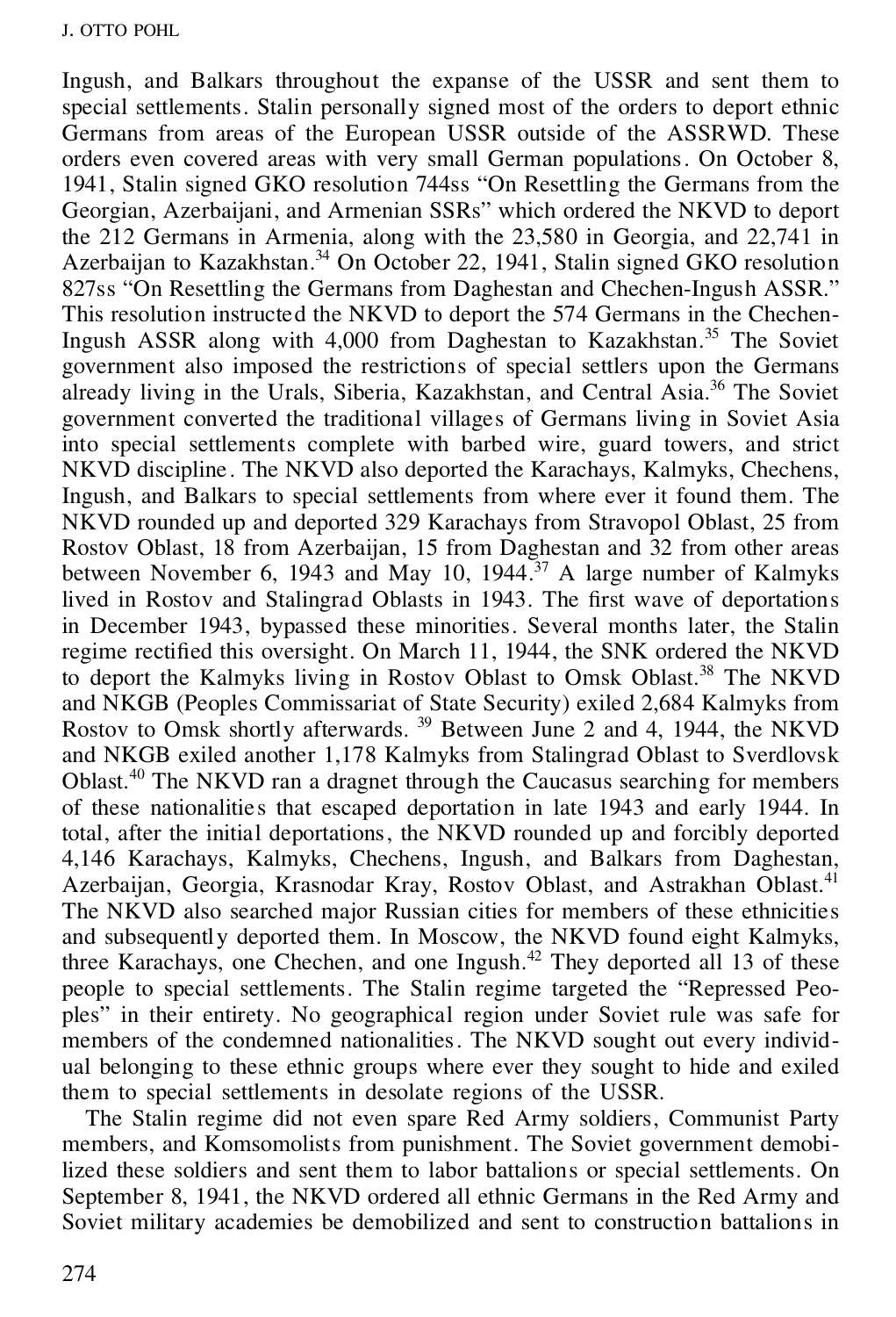Ingush, and Balkars throughout the expanse of the USSR and sent them to special settlements. Stalin personally signed most of the orders to deport ethnic Germans from areas of the European USSR outside of the ASSRWD. These orders even covered areas with very small German populations. On October 8, 1941, Stalin signed GKO resolution 744ss "On Resettling the Germans from the Georgian, Azerbaijani, and Armenian SSRs" which ordered the NKVD to deport the 212 Germans in Armenia, along with the 23,580 in Georgia, and 22,741 in Azerbaijan to Kazakhstan.<sup>34</sup> On October 22, 1941, Stalin signed GKO resolution 827ss "On Resettling the Germans from Daghestan and Chechen-Ingush ASSR." This resolution instructed the NKVD to deport the 574 Germans in the Chechen-Ingush ASSR along with 4,000 from Daghestan to Kazakhstan.<sup>35</sup> The Soviet government also imposed the restrictions of special settlers upon the Germans already living in the Urals, Siberia, Kazakhstan, and Central Asia.<sup>36</sup> The Soviet government converted the traditional villages of Germans living in Soviet Asia into special settlements complete with barbed wire, guard towers, and strict NKVD discipline . The NKVD also deported the Karachays, Kalmyks, Chechens, Ingush, and Balkars to special settlements from where ever it found them. The NKVD rounded up and deported 329 Karachays from Stravopol Oblast, 25 from Rostov Oblast, 18 from Azerbaijan, 15 from Daghestan and 32 from other areas between November 6, 1943 and May 10, 1944.<sup>37</sup> A large number of Kalmyks lived in Rostov and Stalingrad Oblasts in 1943. The first wave of deportations in December 1943, bypassed these minorities. Several months later, the Stalin regime rectified this oversight. On March 11, 1944, the SNK ordered the NKVD to deport the Kalmyks living in Rostov Oblast to Omsk Oblast.<sup>38</sup> The NKVD and NKGB (Peoples Commissariat of State Security) exiled 2,684 Kalmyks from Rostov to Omsk shortly afterwards.<sup>39</sup> Between June 2 and 4, 1944, the NKVD and NKGB exiled another 1,178 Kalmyks from Stalingrad Oblast to Sverdlovsk Oblast.<sup>40</sup> The NKVD ran a dragnet through the Caucasus searching for members of these nationalities that escaped deportation in late 1943 and early 1944. In total, after the initial deportations, the NKVD rounded up and forcibly deported 4,146 Karachays, Kalmyks, Chechens, Ingush, and Balkars from Daghestan, Azerbaijan, Georgia, Krasnodar Kray, Rostov Oblast, and Astrakhan Oblast.<sup>41</sup> The NKVD also searched major Russian cities for members of these ethnicities and subsequently deported them. In Moscow, the NKVD found eight Kalmyks, three Karachays, one Chechen, and one Ingush.<sup>42</sup> They deported all 13 of these people to special settlements. The Stalin regime targeted the "Repressed Peo ples" in their entirety. No geographical region under Soviet rule was safe for members of the condemned nationalities. The NKVD sought out every individ ual belonging to these ethnic groups where ever they sought to hide and exiled them to special settlements in desolate regions of the USSR.

The Stalin regime did not even spare Red Army soldiers, Communist Party members, and Komsomolists from punishment. The Soviet government demobilized these soldiers and sent them to labor battalions or special settlements. On September 8, 1941, the NKVD ordered all ethnic Germans in the Red Army and Soviet military academies be demobilized and sent to construction battalions in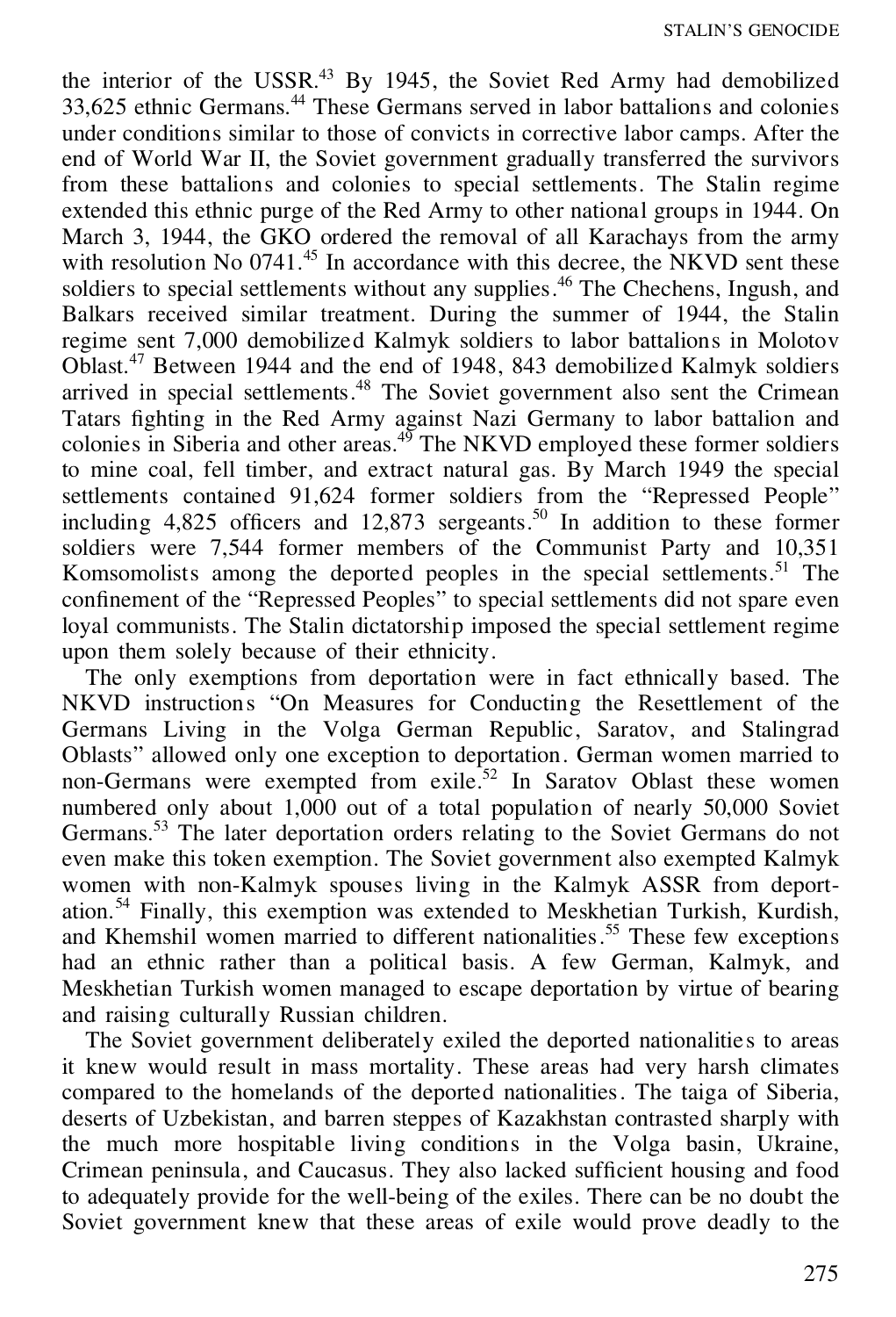the interior of the USSR.<sup>43</sup> By 1945, the Soviet Red Army had demobilized 33,625 ethnic Germans.<sup>44</sup> These Germans served in labor battalions and colonies under conditions similar to those of convicts in corrective labor camps. After the end of World War II, the Soviet government gradually transferred the survivors from these battalions and colonies to special settlements. The Stalin regime extended this ethnic purge of the Red Army to other national groups in 1944. On March 3, 1944, the GKO ordered the removal of all Karachays from the army with resolution No 0741.<sup>45</sup> In accordance with this decree, the NKVD sent these soldiers to special settlements without any supplies.<sup>46</sup> The Chechens, Ingush, and Balkars received similar treatment. During the summer of 1944, the Stalin regime sent 7,000 demobilized Kalmyk soldiers to labor battalions in Molotov Oblast.<sup>47</sup> Between 1944 and the end of 1948, 843 demobilized Kalmyk soldiers arrived in special settlements.<sup>48</sup> The Soviet government also sent the Crimean Tatars fighting in the Red Army against Nazi Germany to labor battalion and colonies in Siberia and other areas. $49$  The NKVD employed these former soldiers to mine coal, fell timber, and extract natural gas. By March 1949 the special settlements contained 91,624 former soldiers from the "Repressed People" including  $4,825$  officers and  $12,873$  sergeants.<sup>50</sup> In addition to these former soldiers were 7,544 former members of the Communist Party and 10,351 Komsomolists among the deported peoples in the special settlements.<sup>51</sup> The confinement of the "Repressed Peoples" to special settlements did not spare even loyal communists. The Stalin dictatorship imposed the special settlement regime upon them solely because of their ethnicity.

The only exemptions from deportation were in fact ethnically based. The NKVD instructions "On Measures for Conducting the Resettlement of the Germans Living in the Volga German Republic, Saratov, and Stalingrad Oblasts" allowed only one exception to deportation. German women married to non-Germans were exempted from exile.<sup>52</sup> In Saratov Oblast these women numbered only about 1,000 out of a total population of nearly 50,000 Soviet Germans.<sup>53</sup> The later deportation orders relating to the Soviet Germans do not even make this token exemption. The Soviet government also exempted Kalmyk women with non-Kalmyk spouses living in the Kalmyk ASSR from deportation.<sup>54</sup> Finally, this exemption was extended to Meskhetian Turkish, Kurdish, and Khemshil women married to different nationalities.<sup>55</sup> These few exceptions had an ethnic rather than a political basis. A few German, Kalmyk, and Meskhetian Turkish women managed to escape deportation by virtue of bearing and raising culturally Russian children.

The Soviet government deliberately exiled the deported nationalities to areas it knew would result in mass mortality. These areas had very harsh climates compared to the homelands of the deported nationalities. The taiga of Siberia, deserts of Uzbekistan, and barren steppes of Kazakhstan contrasted sharply with the much more hospitable living conditions in the Volga basin, Ukraine, Crimean peninsula, and Caucasus. They also lacked sufficient housing and food to adequately provide for the well-being of the exiles. There can be no doubt the Soviet government knew that these areas of exile would prove deadly to the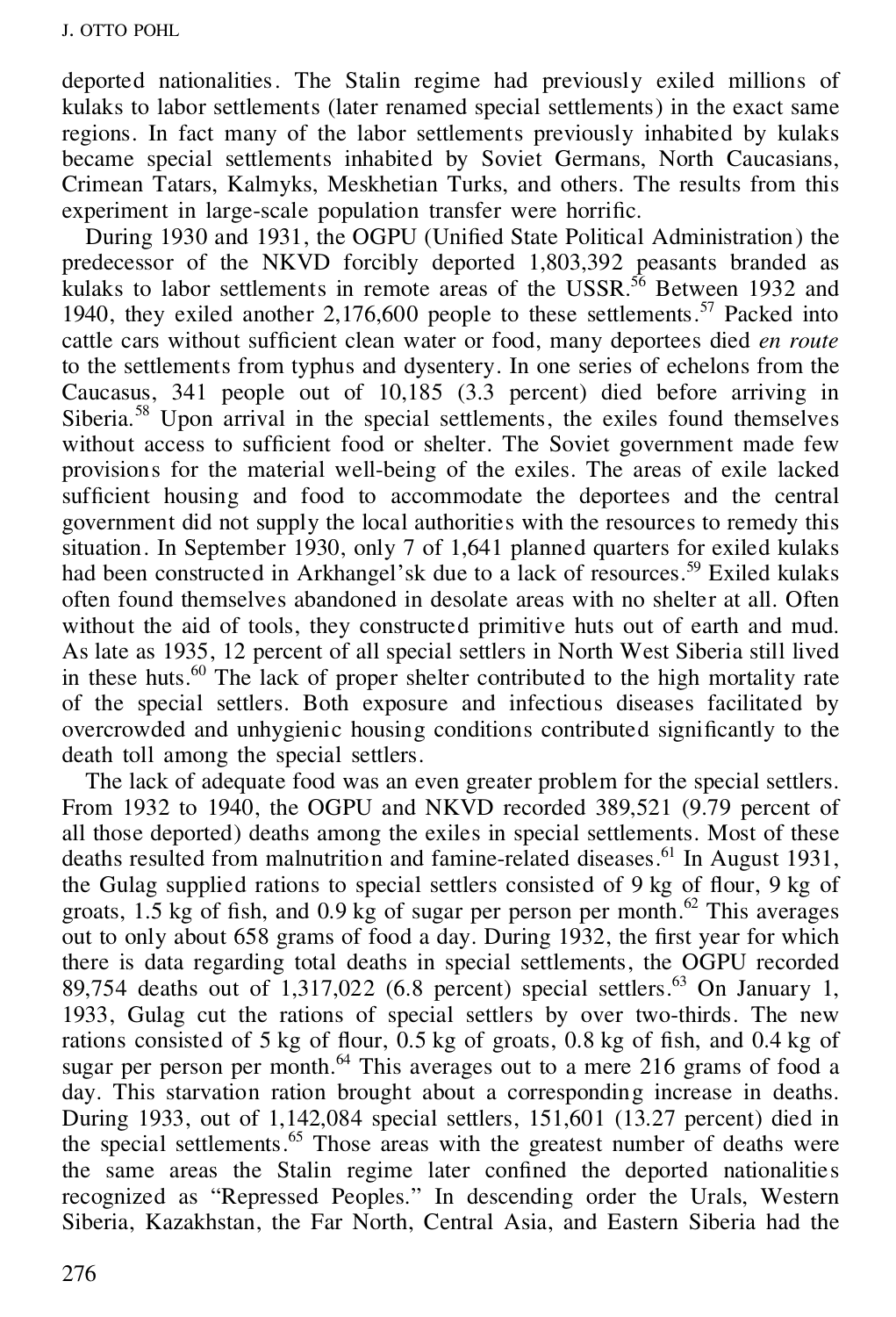deported nationalities. The Stalin regime had previously exiled millions of kulaks to labor settlements (later renamed special settlements) in the exact same regions. In fact many of the labor settlements previously inhabited by kulaks became special settlements inhabited by Soviet Germans, North Caucasians, Crimean Tatars, Kalmyks, Meskhetian Turks, and others. The results from this experiment in large-scale population transfer were horrific.

During 1930 and 1931, the OGPU (Unified State Political Administration) the predecessor of the NKVD forcibly deported 1,803,392 peasants branded as kulaks to labor settlements in remote areas of the USSR.<sup>56</sup> Between 1932 and 1940, they exiled another  $2,176,600$  people to these settlements.<sup>57</sup> Packed into cattle cars without sufficient clean water or food, many deportees died *en route* to the settlements from typhus and dysentery. In one series of echelons from the Caucasus, 341 people out of 10,185 (3.3 percent) died before arriving in Siberia.<sup>58</sup> Upon arrival in the special settlements, the exiles found themselves without access to sufficient food or shelter. The Soviet government made few provisions for the material well-being of the exiles. The areas of exile lacked sufficient housing and food to accommodate the deportees and the central government did not supply the local authorities with the resources to remedy this situation. In September 1930, only 7 of 1,641 planned quarters for exiled kulaks had been constructed in Arkhangel'sk due to a lack of resources.<sup>59</sup> Exiled kulaks often found themselves abandoned in desolate areas with no shelter at all. Often without the aid of tools, they constructed primitive huts out of earth and mud. As late as 1935, 12 percent of all special settlers in North West Siberia still lived in these huts.<sup>60</sup> The lack of proper shelter contributed to the high mortality rate of the special settlers. Both exposure and infectious diseases facilitated by overcrowded and unhygienic housing conditions contributed significantly to the death toll among the special settlers.

The lack of adequate food was an even greater problem for the special settlers. From 1932 to 1940, the OGPU and NKVD recorded 389,521 (9.79 percent of all those deported) deaths among the exiles in special settlements. Most of these deaths resulted from malnutrition and famine-related diseases.<sup>61</sup> In August 1931, the Gulag supplied rations to special settlers consisted of  $9 \text{ kg}$  of flour,  $9 \text{ kg}$  of groats,  $1.5 \text{ kg}$  of fish, and  $0.9 \text{ kg}$  of sugar per person per month.<sup>62</sup> This averages out to only about  $658$  grams of food a day. During 1932, the first year for which there is data regarding total deaths in special settlements, the OGPU recorded 89,754 deaths out of  $1,317,022$  (6.8 percent) special settlers.<sup>63</sup> On January 1, 1933, Gulag cut the rations of special settlers by over two-thirds. The new rations consisted of 5 kg of flour,  $0.5$  kg of groats, 0.8 kg of fish, and 0.4 kg of sugar per person per month. $^{64}$  This averages out to a mere 216 grams of food a day. This starvation ration brought about a corresponding increase in deaths. During 1933, out of 1,142,084 special settlers, 151,601 (13.27 percent) died in the special settlements.<sup>65</sup> Those areas with the greatest number of deaths were the same areas the Stalin regime later confined the deported nationalities recognized as "Repressed Peoples." In descending order the Urals, Western Siberia, Kazakhstan, the Far North, Central Asia, and Eastern Siberia had the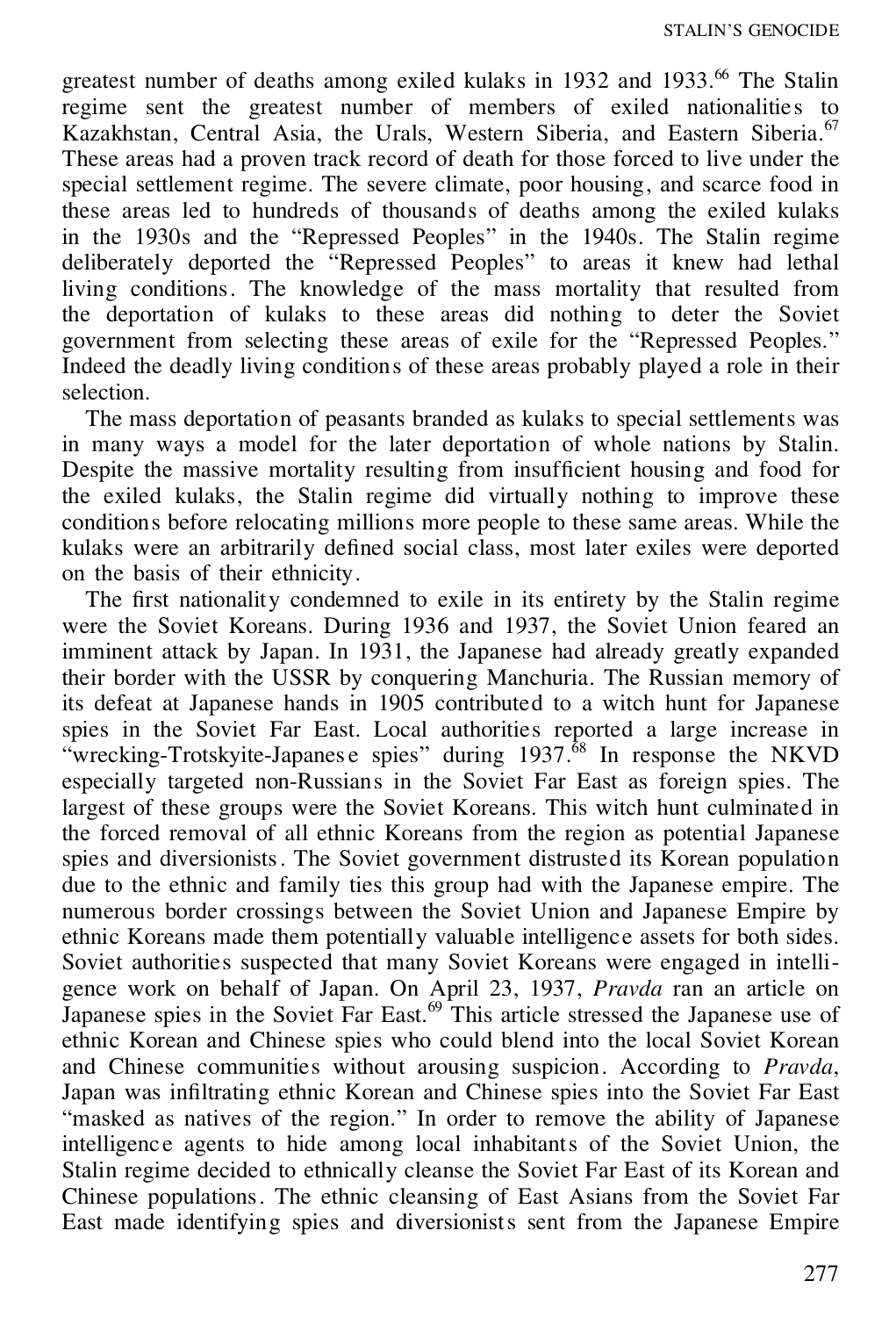greatest number of deaths among exiled kulaks in 1932 and 1933.<sup>66</sup> The Stalin regime sent the greatest number of members of exiled nationalities to Kazakhstan, Central Asia, the Urals, Western Siberia, and Eastern Siberia.<sup>67</sup> These areas had a proven track record of death for those forced to live under the special settlement regime. The severe climate, poor housing, and scarce food in these areas led to hundreds of thousands of deaths among the exiled kulaks in the 1930s and the "Repressed Peoples" in the 1940s. The Stalin regime deliberately deported the "Repressed Peoples" to areas it knew had lethal living conditions. The knowledge of the mass mortality that resulted from the deportation of kulaks to these areas did nothing to deter the Soviet government from selecting these areas of exile for the "Repressed Peoples." Indeed the deadly living conditions of these areas probably played a role in their selection.

The mass deportation of peasants branded as kulaks to special settlements was in many ways a model for the later deportation of whole nations by Stalin. Despite the massive mortality resulting from insufficient housing and food for the exiled kulaks, the Stalin regime did virtually nothing to improve these conditions before relocating millions more people to these same areas. While the kulaks were an arbitrarily defined social class, most later exiles were deported on the basis of their ethnicity.

The first nationality condemned to exile in its entirety by the Stalin regime were the Soviet Koreans. During 1936 and 1937, the Soviet Union feared an imminent attack by Japan. In 1931, the Japanese had already greatly expanded their border with the USSR by conquering Manchuria. The Russian memory of its defeat at Japanese hands in 1905 contributed to a witch hunt for Japanese spies in the Soviet Far East. Local authorities reported a large increase in "wrecking-Trotskyite-Japanes e spies" during  $1937$ .<sup> $68$ </sup> In response the NKVD especially targeted non-Russians in the Soviet Far East as foreign spies. The largest of these groups were the Soviet Koreans. This witch hunt culminated in the forced removal of all ethnic Koreans from the region as potential Japanese spies and diversionists. The Soviet government distrusted its Korean population due to the ethnic and family ties this group had with the Japanese empire. The numerous border crossings between the Soviet Union and Japanese Empire by ethnic Koreans made them potentially valuable intelligence assets for both sides. Soviet authorities suspected that many Soviet Koreans were engaged in intelligence work on behalf of Japan. On April 23, 1937, *Pravda* ran an article on Japanese spies in the Soviet Far East.<sup>69</sup> This article stressed the Japanese use of ethnic Korean and Chinese spies who could blend into the local Soviet Korean and Chinese communities without arousing suspicion. According to *Pravda*, Japan was infiltrating ethnic Korean and Chinese spies into the Soviet Far East "masked as natives of the region." In order to remove the ability of Japanese intelligenc e agents to hide among local inhabitants of the Soviet Union, the Stalin regime decided to ethnically cleanse the Soviet Far East of its Korean and Chinese populations. The ethnic cleansing of East Asians from the Soviet Far East made identifying spies and diversionists sent from the Japanese Empire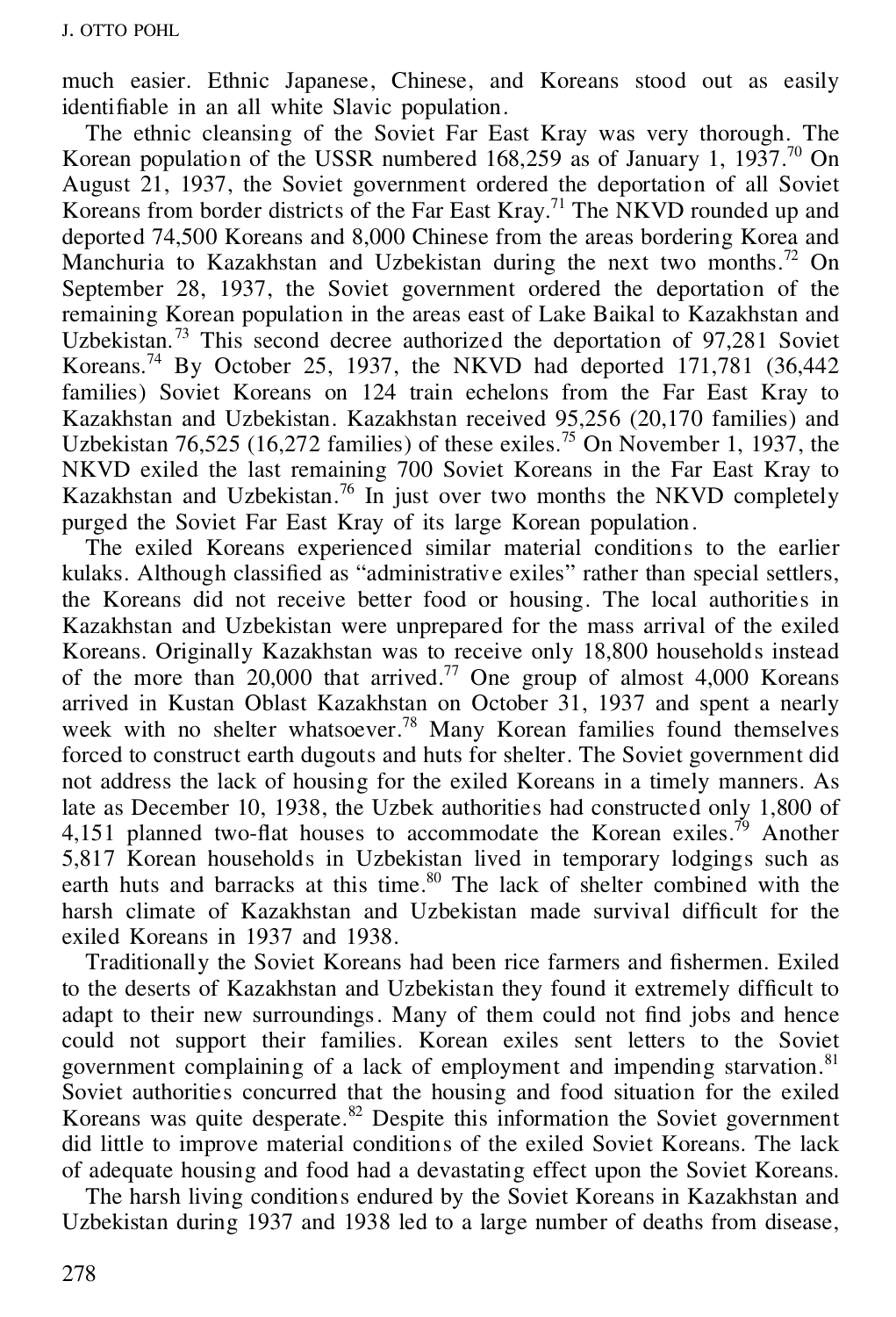much easier. Ethnic Japanese, Chinese, and Koreans stood out as easily identifiable in an all white Slavic population.

The ethnic cleansing of the Soviet Far East Kray was very thorough. The Korean population of the USSR numbered 168,259 as of January 1, 1937.<sup>70</sup> On August 21, 1937, the Soviet government ordered the deportation of all Soviet Koreans from border districts of the Far East Kray.<sup>71</sup> The NKVD rounded up and deported 74,500 Koreans and 8,000 Chinese from the areas bordering Korea and Manchuria to Kazakhstan and Uzbekistan during the next two months.<sup>72</sup> On September 28, 1937, the Soviet government ordered the deportation of the remaining Korean population in the areas east of Lake Baikal to Kazakhstan and Uzbekistan.<sup>73</sup> This second decree authorized the deportation of 97,281 Soviet Koreans.<sup>74</sup> By October 25, 1937, the NKVD had deported  $171,781$  (36,442) families) Soviet Koreans on 124 train echelons from the Far East Kray to Kazakhstan and Uzbekistan. Kazakhstan received 95,256 (20,170 families) and Uzbekistan  $76,525$  (16,272 families) of these exiles.<sup>75</sup> On November 1, 1937, the NKVD exiled the last remaining 700 Soviet Koreans in the Far East Kray to Kazakhstan and Uzbekistan.<sup>76</sup> In just over two months the NKVD completely purged the Soviet Far East Kray of its large Korean population.

The exiled Koreans experienced similar material conditions to the earlier kulaks. Although classified as "administrative exiles" rather than special settlers, the Koreans did not receive better food or housing. The local authorities in Kazakhstan and Uzbekistan were unprepared for the mass arrival of the exiled Koreans. Originally Kazakhstan was to receive only 18,800 households instead of the more than  $20,000$  that arrived.<sup>77</sup> One group of almost 4,000 Koreans arrived in Kustan Oblast Kazakhstan on October 31, 1937 and spent a nearly week with no shelter whatsoever.<sup>78</sup> Many Korean families found themselves forced to construct earth dugouts and huts for shelter. The Soviet government did not address the lack of housing for the exiled Koreans in a timely manners. As late as December 10, 1938, the Uzbek authorities had constructed only 1,800 of 4,151 planned two-flat houses to accommodate the Korean exiles.<sup>79</sup> Another 5,817 Korean households in Uzbekistan lived in temporary lodgings such as earth huts and barracks at this time.<sup>80</sup> The lack of shelter combined with the harsh climate of Kazakhstan and Uzbekistan made survival difficult for the exiled Koreans in 1937 and 1938.

Traditionally the Soviet Koreans had been rice farmers and fishermen. Exiled to the deserts of Kazakhstan and Uzbekistan they found it extremely difficult to adapt to their new surroundings. Many of them could not find jobs and hence could not support their families. Korean exiles sent letters to the Soviet government complaining of a lack of employment and impending starvation.<sup>81</sup> Soviet authorities concurred that the housing and food situation for the exiled Koreans was quite desperate. $82$  Despite this information the Soviet government did little to improve material conditions of the exiled Soviet Koreans. The lack of adequate housing and food had a devastating effect upon the Soviet Koreans.

The harsh living conditions endured by the Soviet Koreans in Kazakhstan and Uzbekistan during 1937 and 1938 led to a large number of deaths from disease,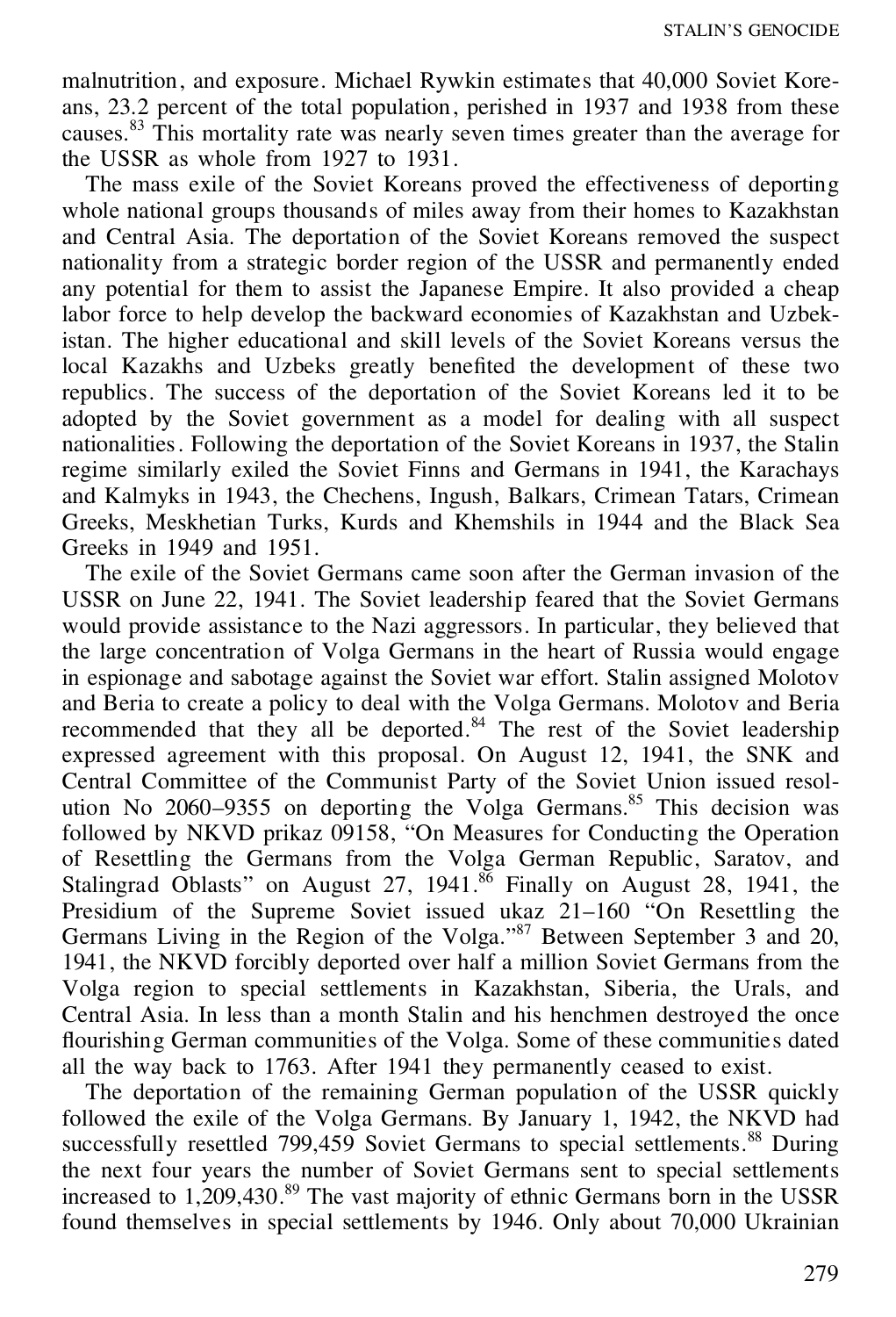malnutrition, and exposure. Michael Rywkin estimates that 40,000 Soviet Kore ans, 23.2 percent of the total population, perished in 1937 and 1938 from these causes.<sup>83</sup> This mortality rate was nearly seven times greater than the average for the USSR as whole from 1927 to 1931.

The mass exile of the Soviet Koreans proved the effectiveness of deporting whole national groups thousands of miles away from their homes to Kazakhstan and Central Asia. The deportation of the Soviet Koreans removed the suspect nationality from a strategic border region of the USSR and permanently ended any potential for them to assist the Japanese Empire. It also provided a cheap labor force to help develop the backward economies of Kazakhstan and Uzbekistan. The higher educational and skill levels of the Soviet Koreans versus the local Kazakhs and Uzbeks greatly benefited the development of these two republics. The success of the deportation of the Soviet Koreans led it to be adopted by the Soviet government as a model for dealing with all suspect nationalities. Following the deportation of the Soviet Koreans in 1937, the Stalin regime similarly exiled the Soviet Finns and Germans in 1941, the Karachays and Kalmyks in 1943, the Chechens, Ingush, Balkars, Crimean Tatars, Crimean Greeks, Meskhetian Turks, Kurds and Khemshils in 1944 and the Black Sea Greeks in 1949 and 1951.

The exile of the Soviet Germans came soon after the German invasion of the USSR on June 22, 1941. The Soviet leadership feared that the Soviet Germans would provide assistance to the Nazi aggressors. In particular, they believed that the large concentration of Volga Germans in the heart of Russia would engage in espionage and sabotage against the Soviet war effort. Stalin assigned Molotov and Beria to create a policy to deal with the Volga Germans. Molotov and Beria recommended that they all be deported.<sup>84</sup> The rest of the Soviet leadership expressed agreement with this proposal. On August 12, 1941, the SNK and Central Committee of the Communist Party of the Soviet Union issued resol ution No 2060–9355 on deporting the Volga Germans.<sup>85</sup> This decision was followed by NKVD prikaz 09158, "On Measures for Conducting the Operation of Resettling the Germans from the Volga German Republic, Saratov, and Stalingrad Oblasts" on August 27,  $1941$ .<sup>86</sup> Finally on August 28, 1941, the Presidium of the Supreme Soviet issued ukaz 21–160 "On Resettling the Germans Living in the Region of the Volga." <sup>87</sup> Between September 3 and 20, 1941, the NKVD forcibly deported over half a million Soviet Germans from the Volga region to special settlements in Kazakhstan, Siberia, the Urals, and Central Asia. In less than a month Stalin and his henchmen destroyed the once flourishing German communities of the Volga. Some of these communities dated all the way back to 1763. After 1941 they permanently ceased to exist.

The deportation of the remaining German population of the USSR quickly followed the exile of the Volga Germans. By January 1, 1942, the NKVD had successfully resettled  $799,459$  Soviet Germans to special settlements.<sup>88</sup> During the next four years the number of Soviet Germans sent to special settlements increased to 1,209,430.<sup>89</sup> The vast majority of ethnic Germans born in the USSR found themselves in special settlements by 1946. Only about 70,000 Ukrainian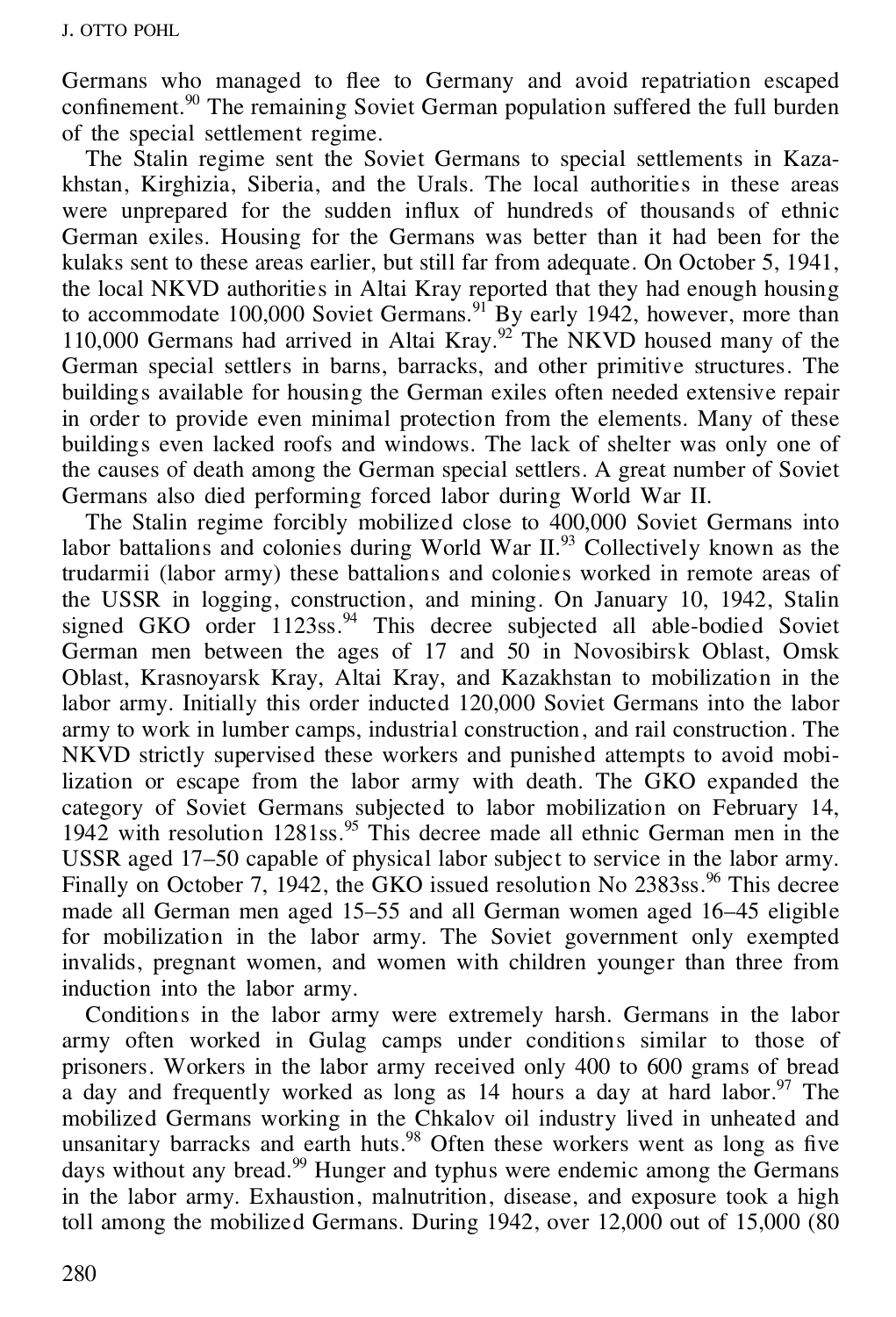Germans who managed to flee to Germany and avoid repatriation escaped  $\frac{1}{20}$  confinement.<sup>90</sup> The remaining Soviet German population suffered the full burden of the special settlement regime.

The Stalin regime sent the Soviet Germans to special settlements in Kaza khstan, Kirghizia, Siberia, and the Urals. The local authorities in these areas were unprepared for the sudden influx of hundreds of thousands of ethnic German exiles. Housing for the Germans was better than it had been for the kulaks sent to these areas earlier, but still far from adequate. On October 5, 1941, the local NKVD authorities in Altai Kray reported that they had enough housing to accommodate 100,000 Soviet Germans.<sup>91</sup> By early 1942, however, more than 110,000 Germans had arrived in Altai Kray.<sup>92</sup> The NKVD housed many of the German special settlers in barns, barracks, and other primitive structures. The buildings available for housing the German exiles often needed extensive repair in order to provide even minimal protection from the elements. Many of these buildings even lacked roofs and windows. The lack of shelter was only one of the causes of death among the German special settlers. A great number of Soviet Germans also died performing forced labor during World War II.

The Stalin regime forcibly mobilized close to 400,000 Soviet Germans into labor battalions and colonies during World War II.<sup>93</sup> Collectively known as the trudarmii (labor army) these battalions and colonies worked in remote areas of the USSR in logging, construction, and mining. On January 10, 1942, Stalin signed GKO order  $1123$ ss.<sup>94</sup> This decree subjected all able-bodied Soviet German men between the ages of 17 and 50 in Novosibirsk Oblast, Omsk Oblast, Krasnoyarsk Kray, Altai Kray, and Kazakhstan to mobilization in the labor army. Initially this order inducted 120,000 Soviet Germans into the labor army to work in lumber camps, industrial construction, and rail construction. The NKVD strictly supervised these workers and punished attempts to avoid mobilization or escape from the labor army with death. The GKO expanded the category of Soviet Germans subjected to labor mobilization on February 14, 1942 with resolution 1281ss.<sup>95</sup> This decree made all ethnic German men in the USSR aged 17–50 capable of physical labor subject to service in the labor army. Finally on October 7, 1942, the GKO issued resolution No  $2383ss$ .<sup>96</sup> This decree made all German men aged 15–55 and all German women aged 16–45 eligible for mobilization in the labor army. The Soviet government only exempted invalids, pregnant women, and women with children younger than three from induction into the labor army.

Conditions in the labor army were extremely harsh. Germans in the labor army often worked in Gulag camps under conditions similar to those of prisoners. Workers in the labor army received only 400 to 600 grams of bread a day and frequently worked as long as 14 hours a day at hard labor.<sup>97</sup> The mobilized Germans working in the Chkalov oil industry lived in unheated and unsanitary barracks and earth huts.<sup>98</sup> Often these workers went as long as five days without any bread.<sup>99</sup> Hunger and typhus were endemic among the Germans in the labor army. Exhaustion, malnutrition, disease, and exposure took a high toll among the mobilized Germans. During  $1942$ , over  $12,000$  out of  $15,000$  (80)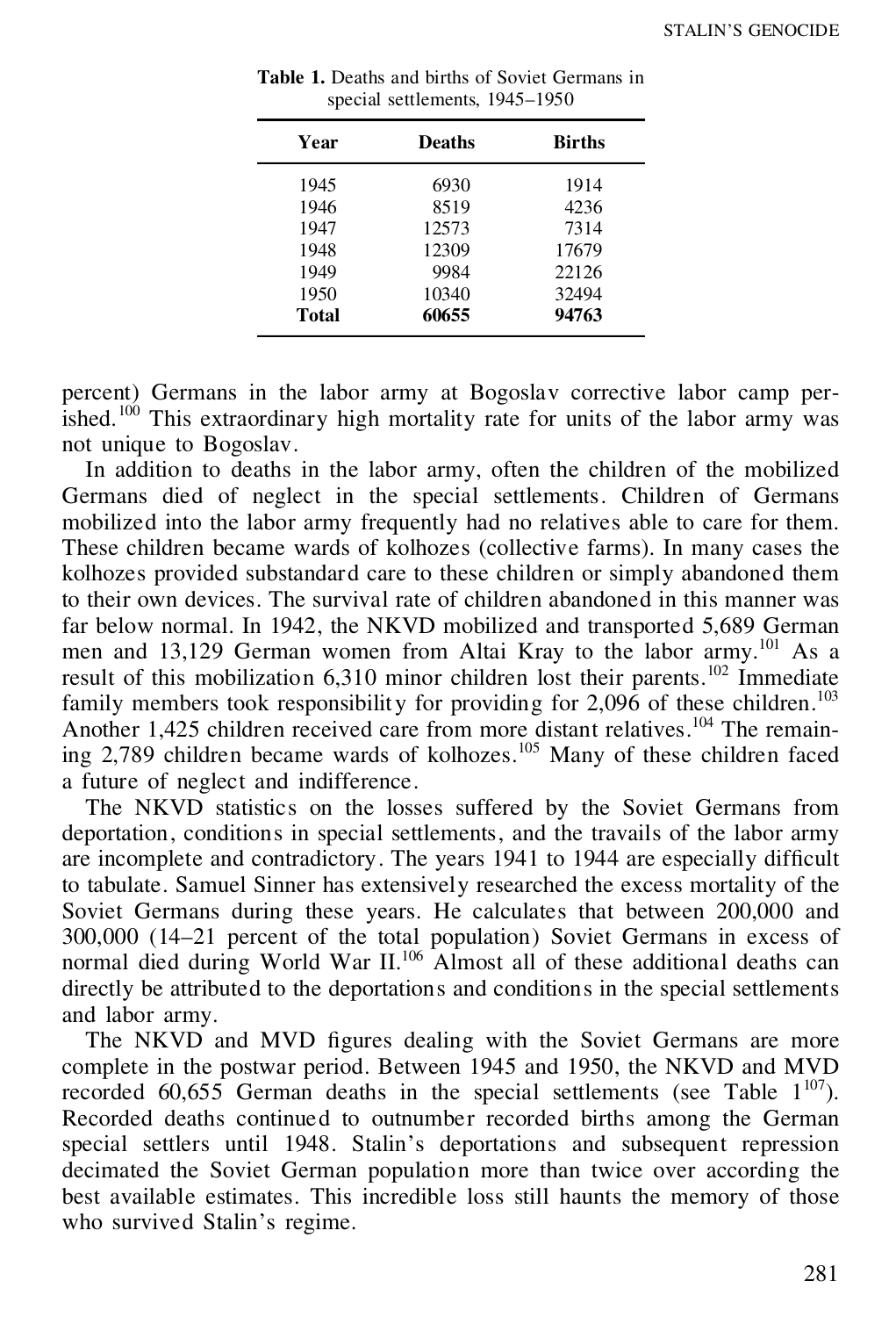| Year  | <b>Deaths</b> | <b>Births</b> |
|-------|---------------|---------------|
| 1945  | 6930          | 1914          |
| 1946  | 8519          | 4236          |
| 1947  | 12573         | 7314          |
| 1948  | 12309         | 17679         |
| 1949  | 9984          | 22126         |
| 1950  | 10340         | 32494         |
| Total | 60655         | 94763         |

| <b>Table 1.</b> Deaths and births of Soviet Germans in |  |
|--------------------------------------------------------|--|
| special settlements, 1945–1950                         |  |

percent) Germans in the labor army at Bogoslav corrective labor camp per- $\frac{1}{100}$  This extraordinary high mortality rate for units of the labor army was not unique to Bogoslav.

In addition to deaths in the labor army, often the children of the mobilized Germans died of neglect in the special settlements. Children of Germans mobilized into the labor army frequently had no relatives able to care for them. These children became wards of kolhozes (collective farms). In many cases the kolhozes provided substandard care to these children or simply abandoned them to their own devices. The survival rate of children abandoned in this manner was far below normal. In 1942, the NKVD mobilized and transported 5,689 German men and 13,129 German women from Altai Kray to the labor army.<sup>101</sup> As a result of this mobilization 6,310 minor children lost their parents.<sup>102</sup> Immediate family members took responsibility for providing for  $2.096$  of these children.<sup>103</sup> Another 1,425 children received care from more distant relatives.<sup>104</sup> The remaining  $2,789$  children became wards of kolhozes.<sup>105</sup> Many of these children faced a future of neglect and indifference.

The NKVD statistics on the losses suffered by the Soviet Germans from deportation, conditions in special settlements, and the travails of the labor army are incomplete and contradictory. The years 1941 to 1944 are especially difficult to tabulate. Samuel Sinner has extensively researched the excess mortality of the Soviet Germans during these years. He calculates that between 200,000 and 300,000 (14–21 percent of the total population) Soviet Germans in excess of normal died during World War II.<sup>106</sup> Almost all of these additional deaths can directly be attributed to the deportations and conditions in the special settlements and labor army.

The NKVD and MVD figures dealing with the Soviet Germans are more complete in the postwar period. Between 1945 and 1950, the NKVD and MVD recorded 60,655 German deaths in the special settlements (see Table  $1^{107}$ ). Recorded deaths continued to outnumber recorded births among the German special settlers until 1948. Stalin's deportations and subsequent repression decimated the Soviet German population more than twice over according the best available estimates. This incredible loss still haunts the memory of those who survived Stalin's regime.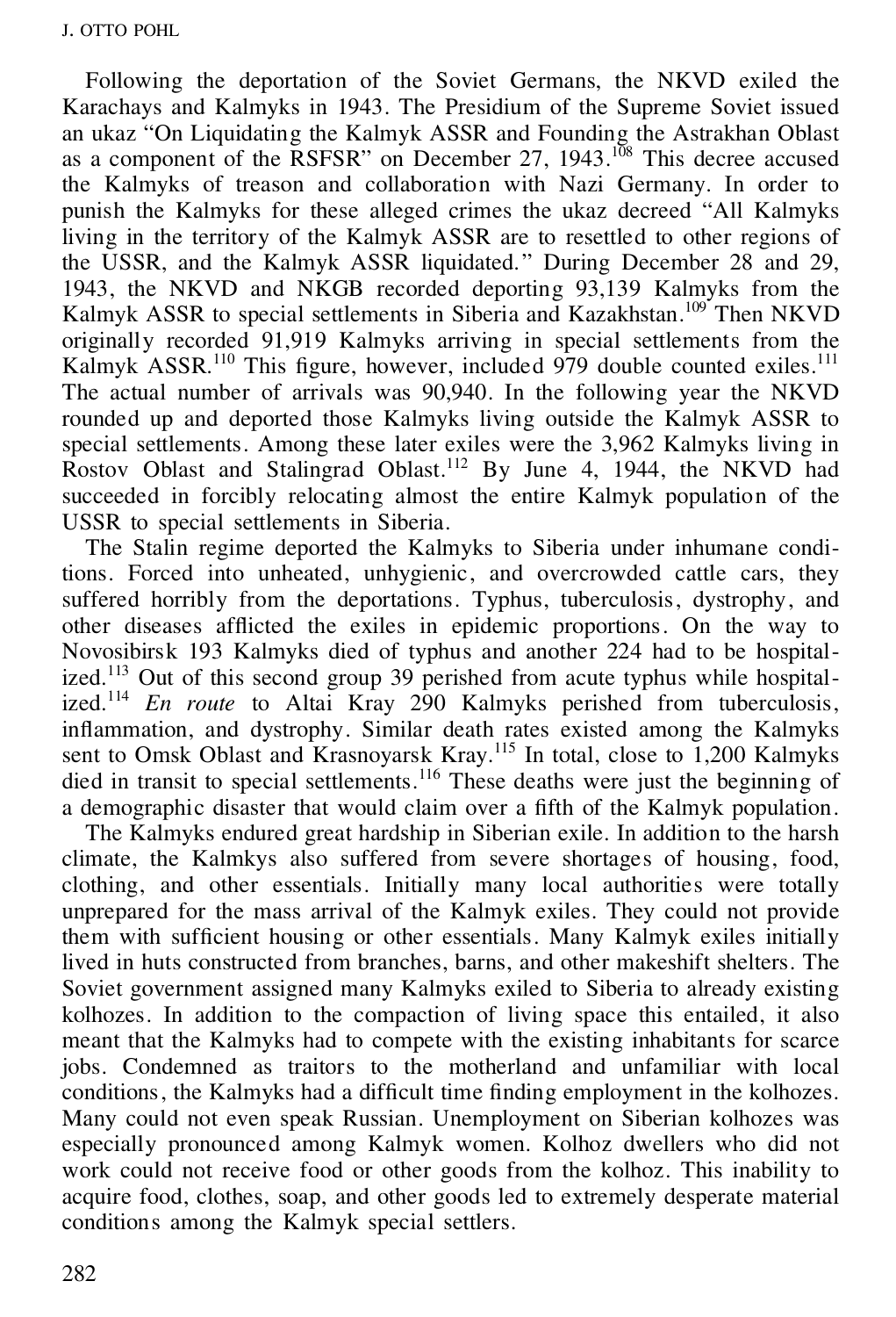Following the deportation of the Soviet Germans, the NKVD exiled the Karachays and Kalmyks in 1943. The Presidium of the Supreme Soviet issued an ukaz "On Liquidating the Kalmyk ASSR and Founding the Astrakhan Oblast as a component of the  $\overline{R}$ SFSR" on December 27, 1943.<sup>108</sup> This decree accused the Kalmyks of treason and collaboration with Nazi Germany. In order to punish the Kalmyks for these alleged crimes the ukaz decreed "All Kalmyks living in the territory of the Kalmyk ASSR are to resettled to other regions of the USSR, and the Kalmyk ASSR liquidated." During December 28 and 29, 1943, the NKVD and NKGB recorded deporting 93,139 Kalmyks from the Kalmyk ASSR to special settlements in Siberia and Kazakhstan.<sup>109</sup> Then NKVD originally recorded 91,919 Kalmyks arriving in special settlements from the Kalmyk ASSR.<sup>110</sup> This figure, however, included 979 double counted exiles.<sup>111</sup> The actual number of arrivals was 90,940. In the following year the NKVD rounded up and deported those Kalmyks living outside the Kalmyk ASSR to special settlements. Among these later exiles were the 3,962 Kalmyks living in Rostov Oblast and Stalingrad Oblast.<sup>112</sup> By June 4, 1944, the NKVD had succeeded in forcibly relocating almost the entire Kalmyk population of the USSR to special settlements in Siberia.

The Stalin regime deported the Kalmyks to Siberia under inhumane conditions. Forced into unheated, unhygienic, and overcrowded cattle cars, they suffered horribly from the deportations. Typhus, tuberculosis, dystrophy, and other diseases afflicted the exiles in epidemic proportions. On the way to Novosibirsk 193 Kalmyks died of typhus and another 224 had to be hospitalized.<sup>113</sup> Out of this second group  $39$  perished from acute typhus while hospitalized.<sup>114</sup> *En route* to Altai Kray 290 Kalmyks perished from tuberculosis, inflammation, and dystrophy. Similar death rates existed among the Kalmyks sent to Omsk Oblast and Krasnoyarsk Kray.<sup>115</sup> In total, close to 1,200 Kalmyks died in transit to special settlements.<sup>116</sup> These deaths were just the beginning of a demographic disaster that would claim over a fifth of the Kalmyk population.

The Kalmyks endured great hardship in Siberian exile. In addition to the harsh climate, the Kalmkys also suffered from severe shortages of housing, food, clothing, and other essentials. Initially many local authorities were totally unprepared for the mass arrival of the Kalmyk exiles. They could not provide them with sufficient housing or other essentials. Many Kalmyk exiles initially lived in huts constructed from branches, barns, and other makeshift shelters. The Soviet government assigned many Kalmyks exiled to Siberia to already existing kolhozes. In addition to the compaction of living space this entailed, it also meant that the Kalmyks had to compete with the existing inhabitants for scarce jobs. Condemned as traitors to the motherland and unfamiliar with local conditions, the Kalmyks had a difficult time finding employment in the kolhozes. Many could not even speak Russian. Unemployment on Siberian kolhozes was especially pronounced among Kalmyk women. Kolhoz dwellers who did not work could not receive food or other goods from the kolhoz. This inability to acquire food, clothes, soap, and other goods led to extremely desperate material conditions among the Kalmyk special settlers.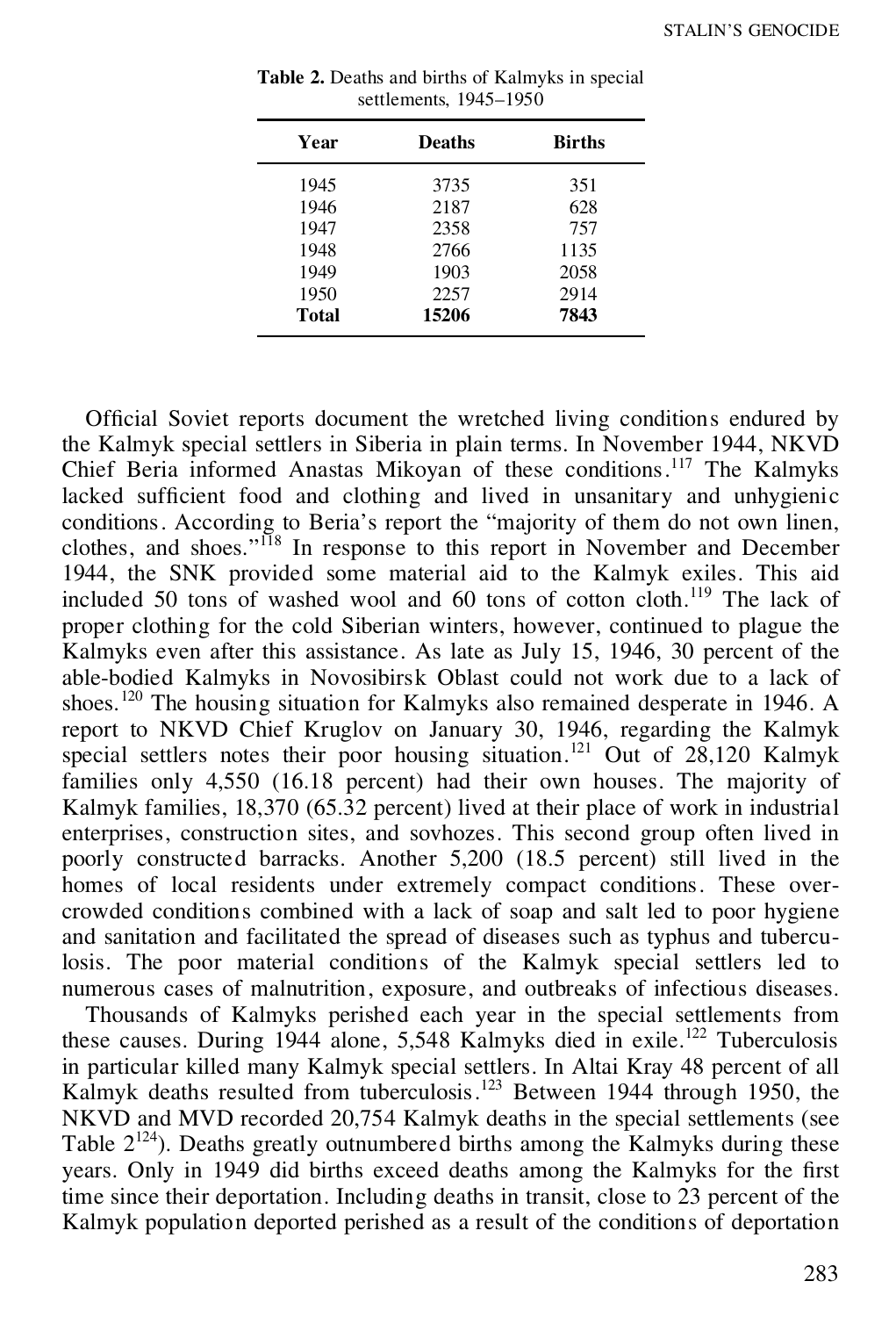| Year  | <b>Deaths</b> | <b>Births</b> |
|-------|---------------|---------------|
| 1945  | 3735          | 351           |
| 1946  | 2187          | 628           |
| 1947  | 2358          | 757           |
| 1948  | 2766          | 1135          |
| 1949  | 1903          | 2058          |
| 1950  | 2257          | 2914          |
| Total | 15206         | 7843          |

**Table 2.** Deaths and births of Kalmyks in special settlements, 1945–1950

Official Soviet reports document the wretched living conditions endured by the Kalmyk special settlers in Siberia in plain terms. In November 1944, NKVD Chief Beria informed Anastas Mikoyan of these conditions.<sup>117</sup> The Kalmyks lacked sufficient food and clothing and lived in unsanitary and unhygienic conditions. According to Beria's report the "majority of them do not own linen, clothes, and shoes."<sup>II8</sup> In response to this report in November and December 1944, the SNK provided some material aid to the Kalmyk exiles. This aid included 50 tons of washed wool and 60 tons of cotton cloth.<sup>119</sup> The lack of proper clothing for the cold Siberian winters, however, continued to plague the Kalmyks even after this assistance. As late as July 15, 1946, 30 percent of the able-bodied Kalmyks in Novosibirsk Oblast could not work due to a lack of shoes.<sup>120</sup> The housing situation for Kalmyks also remained desperate in 1946. A report to NKVD Chief Kruglov on January 30, 1946, regarding the Kalmyk special settlers notes their poor housing situation.<sup>121</sup> Out of  $28,120$  Kalmyk families only 4,550 (16.18 percent) had their own houses. The majority of Kalmyk families, 18,370 (65.32 percent) lived at their place of work in industrial enterprises, construction sites, and sovhozes. This second group often lived in poorly constructed barracks. Another 5,200 (18.5 percent) still lived in the homes of local residents under extremely compact conditions. These overcrowded conditions combined with a lack of soap and salt led to poor hygiene and sanitation and facilitated the spread of diseases such as typhus and tuberculosis. The poor material conditions of the Kalmyk special settlers led to numerous cases of malnutrition, exposure, and outbreaks of infectious diseases.

Thousands of Kalmyks perished each year in the special settlements from these causes. During 1944 alone, 5,548 Kalmyks died in exile.<sup>122</sup> Tuberculosis in particular killed many Kalmyk special settlers. In Altai Kray 48 percent of all Kalmyk deaths resulted from tuberculosis.<sup>123</sup> Between 1944 through 1950, the NKVD and MVD recorded 20,754 Kalmyk deaths in the special settlements (see Table  $2^{124}$ ). Deaths greatly outnumbered births among the Kalmyks during these vears. Only in 1949 did births exceed deaths among the Kalmyks for the first time since their deportation. Including deaths in transit, close to 23 percent of the Kalmyk population deported perished as a result of the conditions of deportation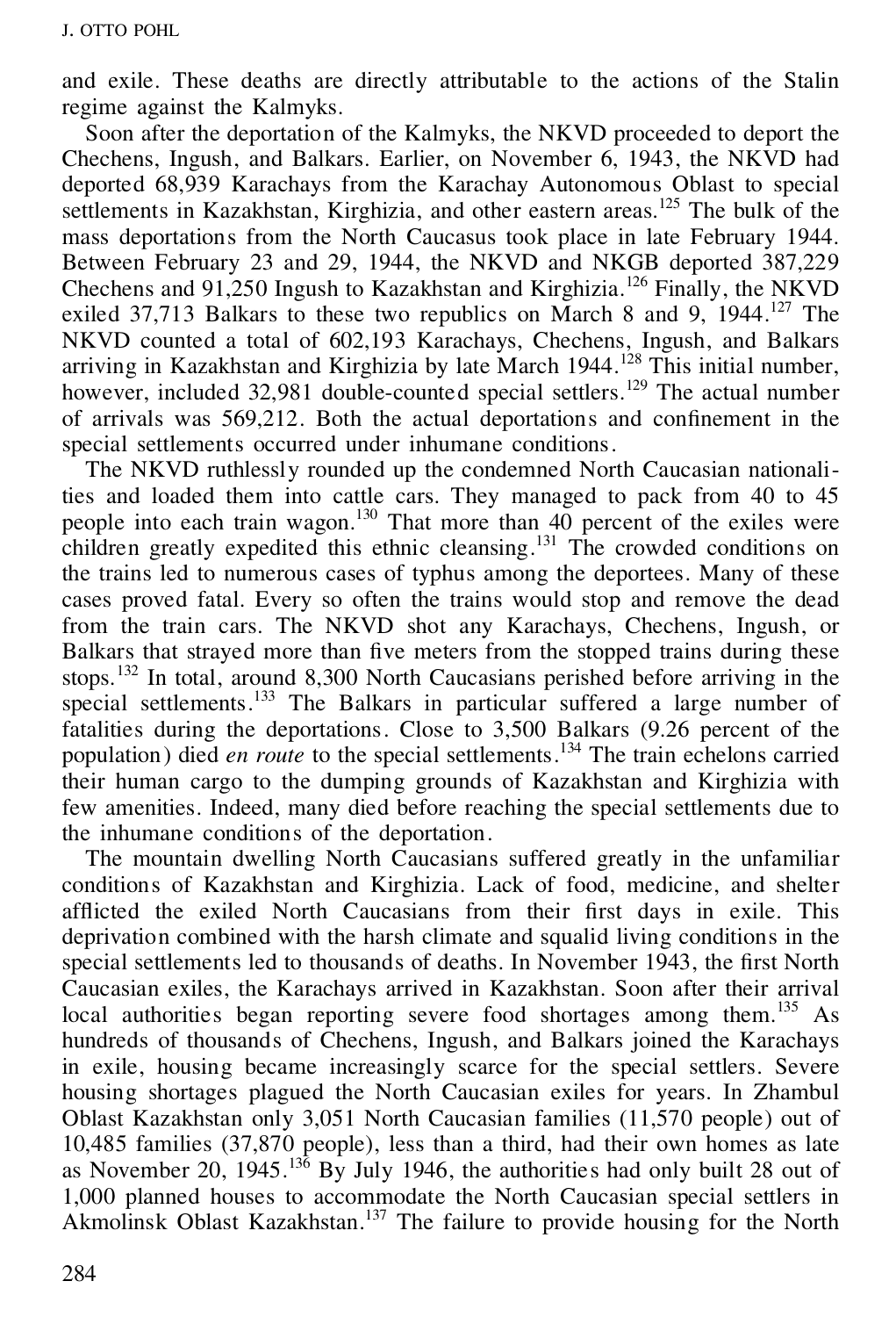and exile. These deaths are directly attributable to the actions of the Stalin regime against the Kalmyks.

Soon after the deportation of the Kalmyks, the NKVD proceeded to deport the Chechens, Ingush, and Balkars. Earlier, on November 6, 1943, the NKVD had deported 68,939 Karachays from the Karachay Autonomous Oblast to special settlements in Kazakhstan, Kirghizia, and other eastern areas.<sup>125</sup> The bulk of the mass deportations from the North Caucasus took place in late February 1944. Between February 23 and 29, 1944, the NKVD and NKGB deported 387,229 Chechens and 91,250 Ingush to Kazakhstan and Kirghizia.<sup>126</sup> Finally, the NKVD exiled 37,713 Balkars to these two republics on March 8 and 9,  $1944$ <sup>127</sup> The NKVD counted a total of 602,193 Karachays, Chechens, Ingush, and Balkars arriving in Kazakhstan and Kirghizia by late March 1944.<sup>128</sup> This initial number, however, included 32,981 double-counted special settlers.<sup>129</sup> The actual number of arrivals was 569,212. Both the actual deportations and confinement in the special settlements occurred under inhumane conditions.

The NKVD ruthlessly rounded up the condemned North Caucasian nationalities and loaded them into cattle cars. They managed to pack from 40 to 45 people into each train wagon.<sup>130</sup> That more than  $40$  percent of the exiles were children greatly expedited this ethnic cleansing.<sup>131</sup> The crowded conditions on the trains led to numerous cases of typhus among the deportees. Many of these cases proved fatal. Every so often the trains would stop and remove the dead from the train cars. The NKVD shot any Karachays, Chechens, Ingush, or Balkars that strayed more than five meters from the stopped trains during these stops.<sup>132</sup> In total, around 8,300 North Caucasians perished before arriving in the special settlements.<sup>133</sup> The Balkars in particular suffered a large number of fatalities during the deportations. Close to 3,500 Balkars (9.26 percent of the population) died *en route* to the special settlements.<sup>134</sup> The train echelons carried their human cargo to the dumping grounds of Kazakhstan and Kirghizia with few amenities. Indeed, many died before reaching the special settlements due to the inhumane conditions of the deportation.

The mountain dwelling North Caucasians suffered greatly in the unfamiliar conditions of Kazakhstan and Kirghizia. Lack of food, medicine, and shelter afflicted the exiled North Caucasians from their first days in exile. This deprivation combined with the harsh climate and squalid living conditions in the special settlements led to thousands of deaths. In November 1943, the first North Caucasian exiles, the Karachays arrived in Kazakhstan. Soon after their arrival local authorities began reporting severe food shortages among them.<sup>135</sup> As hundreds of thousands of Chechens, Ingush, and Balkars joined the Karachays in exile, housing became increasingly scarce for the special settlers. Severe housing shortages plagued the North Caucasian exiles for years. In Zhambul Oblast Kazakhstan only 3,051 North Caucasian families (11,570 people) out of 10,485 families (37,870 people), less than a third, had their own homes as late as November 20,  $1945$ .<sup>136</sup> By July 1946, the authorities had only built 28 out of 1,000 planned houses to accommodate the North Caucasian special settlers in Akmolinsk Oblast Kazakhstan.<sup>137</sup> The failure to provide housing for the North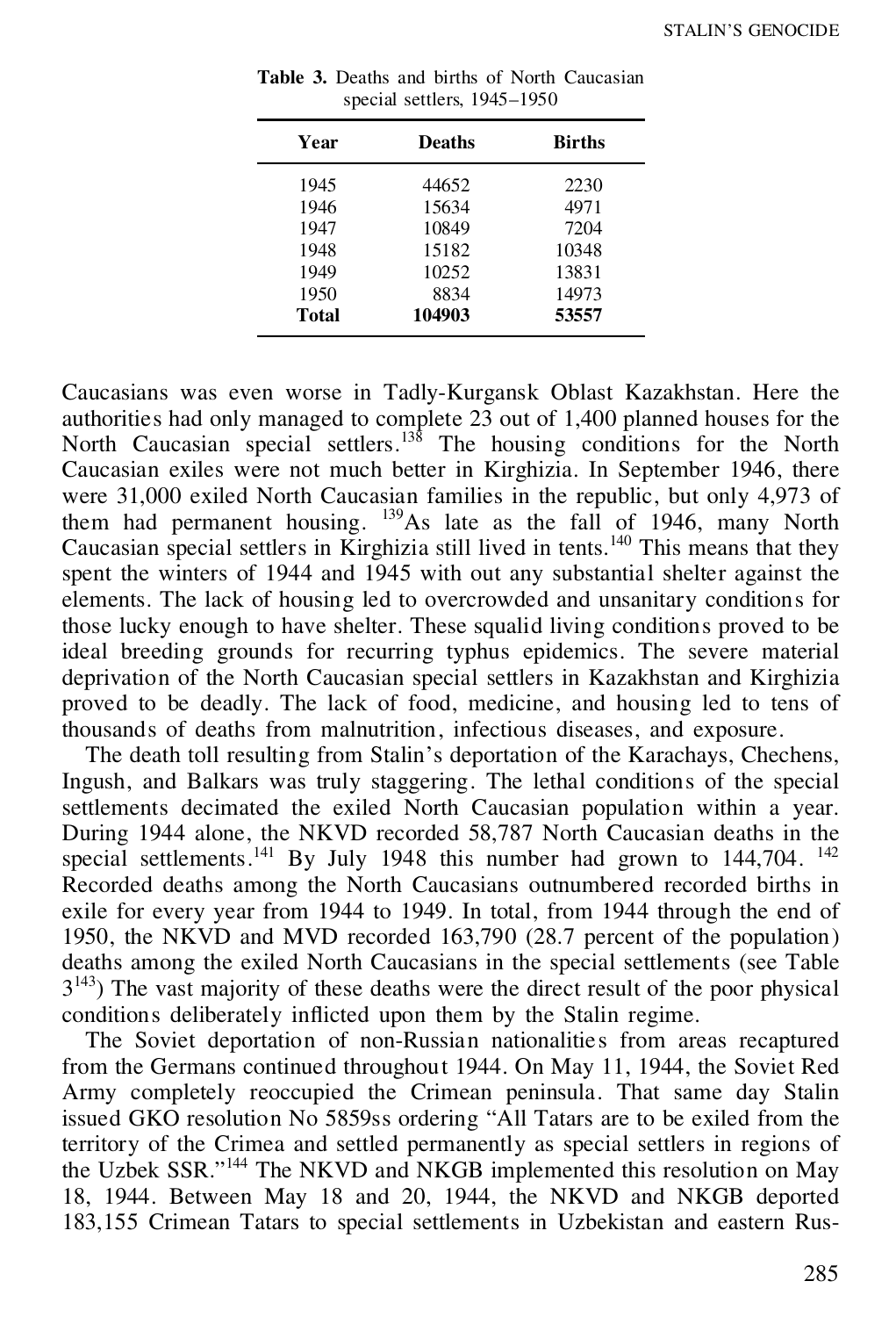| Year  | <b>Deaths</b> | <b>Births</b> |
|-------|---------------|---------------|
| 1945  | 44652         | 2230          |
| 1946  | 15634         | 4971          |
| 1947  | 10849         | 7204          |
| 1948  | 15182         | 10348         |
| 1949  | 10252         | 13831         |
| 1950  | 8834          | 14973         |
| Total | 104903        | 53557         |

| <b>Table 3.</b> Deaths and births of North Caucasian |  |
|------------------------------------------------------|--|
| special settlers, $1945-1950$                        |  |

Caucasians was even worse in Tadly-Kurgansk Oblast Kazakhstan. Here the authorities had only managed to complete  $2\overline{3}$  out of 1,400 planned houses for the North Caucasian special settlers.<sup>138</sup> The housing conditions for the North Caucasian exiles were not much better in Kirghizia. In September 1946, there were 31,000 exiled North Caucasian families in the republic, but only 4,973 of them had permanent housing. <sup>139</sup>As late as the fall of 1946, many North Caucasian special settlers in Kirghizia still lived in tents.<sup>140</sup> This means that they spent the winters of 1944 and 1945 with out any substantial shelter against the elements. The lack of housing led to overcrowded and unsanitary conditions for those lucky enough to have shelter. These squalid living conditions proved to be ideal breeding grounds for recurring typhus epidemics. The severe material deprivation of the North Caucasian special settlers in Kazakhstan and Kirghizia proved to be deadly. The lack of food, medicine, and housing led to tens of thousands of deaths from malnutrition, infectious diseases, and exposure.

The death toll resulting from Stalin's deportation of the Karachays, Chechens, Ingush, and Balkars was truly staggering. The lethal conditions of the special settlements decimated the exiled North Caucasian population within a year. During 1944 alone, the NKVD recorded 58,787 North Caucasian deaths in the special settlements.<sup>141</sup> By July 1948 this number had grown to  $144,704$ . Recorded deaths among the North Caucasians outnumbered recorded births in exile for every year from 1944 to 1949. In total, from 1944 through the end of 1950, the NKVD and MVD recorded 163,790 (28.7 percent of the population) deaths among the exiled North Caucasians in the special settlements (see Table  $3<sup>143</sup>$ ) The vast majority of these deaths were the direct result of the poor physical conditions deliberately inflicted upon them by the Stalin regime.

The Soviet deportation of non-Russian nationalities from areas recaptured from the Germans continued throughout 1944. On May 11, 1944, the Soviet Red Army completely reoccupied the Crimean peninsula. That same day Stalin issued GKO resolution No 5859ss ordering "All Tatars are to be exiled from the territory of the Crimea and settled permanently as special settlers in regions of the Uzbek SSR." <sup>144</sup> The NKVD and NKGB implemented this resolution on May 18, 1944. Between May 18 and 20, 1944, the NKVD and NKGB deported 183,155 Crimean Tatars to special settlements in Uzbekistan and eastern Rus-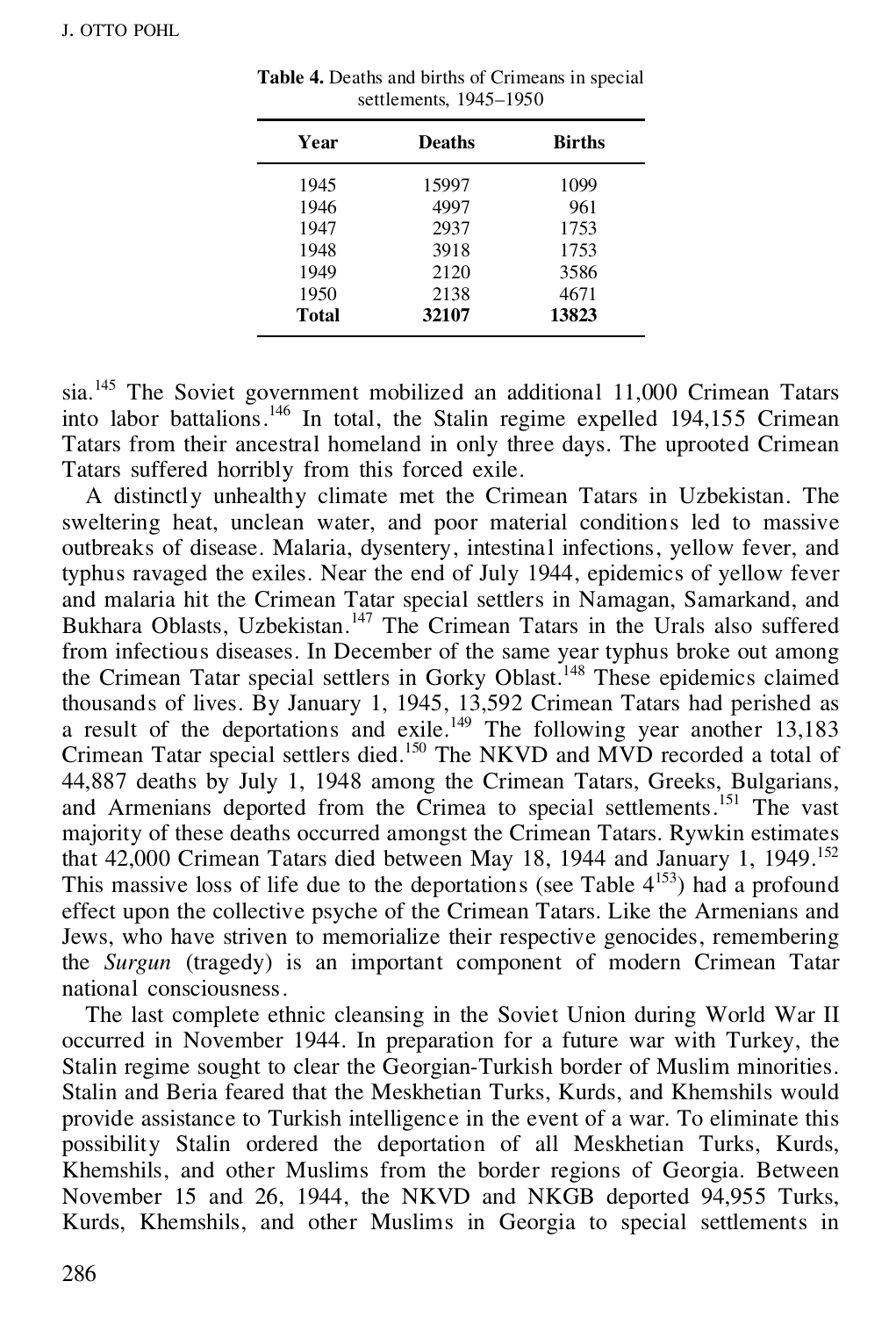| Year  | <b>Deaths</b> | <b>Births</b> |
|-------|---------------|---------------|
| 1945  | 15997         | 1099          |
| 1946  | 4997          | 961           |
| 1947  | 2937          | 1753          |
| 1948  | 3918          | 1753          |
| 1949  | 2120          | 3586          |
| 1950  | 2138          | 4671          |
| Total | 32107         | 13823         |

**Table 4.** Deaths and births of Crimeans in special settlements, 1945–1950

sia.<sup>145</sup> The Soviet government mobilized an additional 11,000 Crimean Tatars into labor battalions.<sup>146</sup> In total, the Stalin regime expelled 194,155 Crimean Tatars from their ancestral homeland in only three days. The uprooted Crimean Tatars suffered horribly from this forced exile.

A distinctly unhealthy climate met the Crimean Tatars in Uzbekistan. The sweltering heat, unclean water, and poor material conditions led to massive outbreaks of disease. Malaria, dysentery, intestinal infections, yellow fever, and typhus ravaged the exiles. Near the end of July 1944, epidemics of yellow fever and malaria hit the Crimean Tatar special settlers in Namagan, Samarkand, and Bukhara Oblasts, Uzbekistan.<sup>147</sup> The Crimean Tatars in the Urals also suffered from infectious diseases. In December of the same year typhus broke out among the Crimean Tatar special settlers in Gorky Oblast.<sup>148</sup> These epidemics claimed thousands of lives. By January 1, 1945, 13,592 Crimean Tatars had perished as a result of the deportations and exile.<sup>149</sup> The following year another 13,183 Crimean Tatar special settlers died.<sup>150</sup> The NKVD and MVD recorded a total of 44,887 deaths by July 1, 1948 among the Crimean Tatars, Greeks, Bulgarians, and Armenians deported from the Crimea to special settlements.<sup>151</sup> The vast majority of these deaths occurred amongst the Crimean Tatars. Rywkin estimates that 42,000 Crimean Tatars died between May 18, 1944 and January 1, 1949.<sup>152</sup> This massive loss of life due to the deportations (see Table  $4^{153}$ ) had a profound effect upon the collective psyche of the Crimean Tatars. Like the Armenians and Jews, who have striven to memorialize their respective genocides, remembering the *Surgun* (tragedy) is an important component of modern Crimean Tatar national consciousness.

The last complete ethnic cleansing in the Soviet Union during World War II occurred in November 1944. In preparation for a future war with Turkey, the Stalin regime sought to clear the Georgian-Turkish border of Muslim minorities. Stalin and Beria feared that the Meskhetian Turks, Kurds, and Khemshils would provide assistance to Turkish intelligence in the event of a war. To eliminate this possibility Stalin ordered the deportation of all Meskhetian Turks, Kurds, Khemshils, and other Muslims from the border regions of Georgia. Between November 15 and 26, 1944, the NKVD and NKGB deported 94,955 Turks, Kurds, Khemshils, and other Muslims in Georgia to special settlements in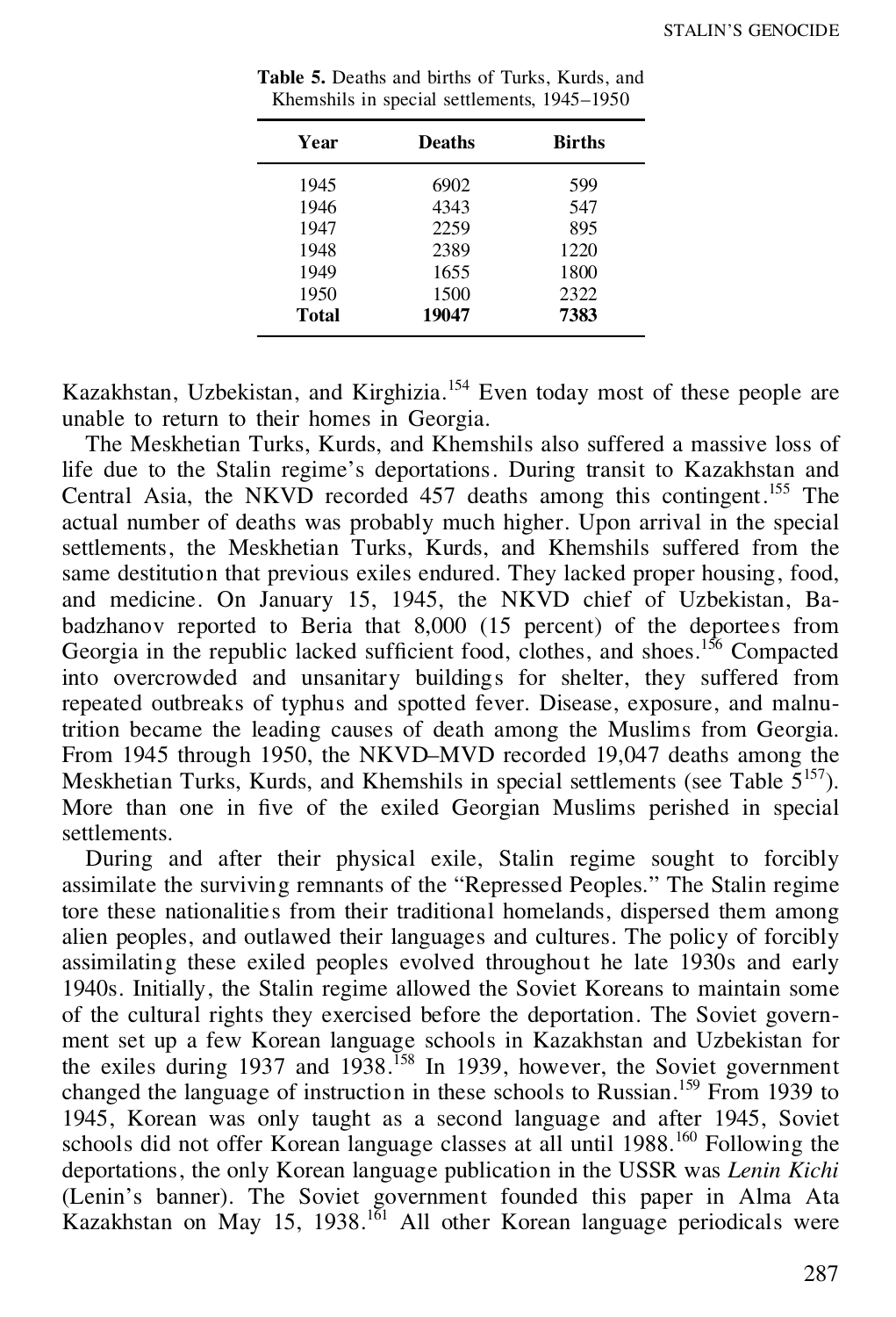| Year  | <b>Deaths</b> | <b>Births</b> |
|-------|---------------|---------------|
| 1945  | 6902          | 599           |
| 1946  | 4343          | 547           |
| 1947  | 2259          | 895           |
| 1948  | 2389          | 1220          |
| 1949  | 1655          | 1800          |
| 1950  | 1500          | 2322          |
| Total | 19047         | 7383          |

**Table 5.** Deaths and births of Turks, Kurds, and Khemshils in special settlements, 1945–1950

Kazakhstan, Uzbekistan, and Kirghizia.<sup>154</sup> Even today most of these people are unable to return to their homes in Georgia.

The Meskhetian Turks, Kurds, and Khemshils also suffered a massive loss of life due to the Stalin regime's deportations. During transit to Kazakhstan and Central Asia, the NKVD recorded 457 deaths among this contingent.<sup>155</sup> The actual number of deaths was probably much higher. Upon arrival in the special settlements, the Meskhetian Turks, Kurds, and Khemshils suffered from the same destitution that previous exiles endured. They lacked proper housing, food, and medicine. On January 15, 1945, the NKVD chief of Uzbekistan, Ba badzhanov reported to Beria that 8,000 (15 percent) of the deportees from Georgia in the republic lacked sufficient food, clothes, and shoes.<sup>156</sup> Compacted into overcrowded and unsanitary buildings for shelter, they suffered from repeated outbreaks of typhus and spotted fever. Disease, exposure, and malnutrition became the leading causes of death among the Muslims from Georgia. From 1945 through 1950, the NKVD–MVD recorded 19,047 deaths among the Meskhetian Turks, Kurds, and Khemshils in special settlements (see Table  $5^{157}$ ). More than one in five of the exiled Georgian Muslims perished in special settlements.

During and after their physical exile, Stalin regime sought to forcibly assimilate the surviving remnants of the "Repressed Peoples." The Stalin regime tore these nationalities from their traditional homelands, dispersed them among alien peoples, and outlawed their languages and cultures. The policy of forcibly assimilating these exiled peoples evolved throughout he late 1930s and early 1940s. Initially, the Stalin regime allowed the Soviet Koreans to maintain some of the cultural rights they exercised before the deportation. The Soviet govern ment set up a few Korean language schools in Kazakhstan and Uzbekistan for the exiles during 1937 and 1938.<sup>158</sup> In 1939, however, the Soviet government changed the language of instruction in these schools to Russian.<sup>159</sup> From 1939 to 1945, Korean was only taught as a second language and after 1945, Soviet schools did not offer Korean language classes at all until 1988.<sup>160</sup> Following the deportations, the only Korean language publication in the USSR was *Lenin Kichi* (Lenin's banner). The Soviet government founded this paper in Alma Ata Kazakhstan on May 15, 1938.<sup>161</sup> All other Korean language periodicals were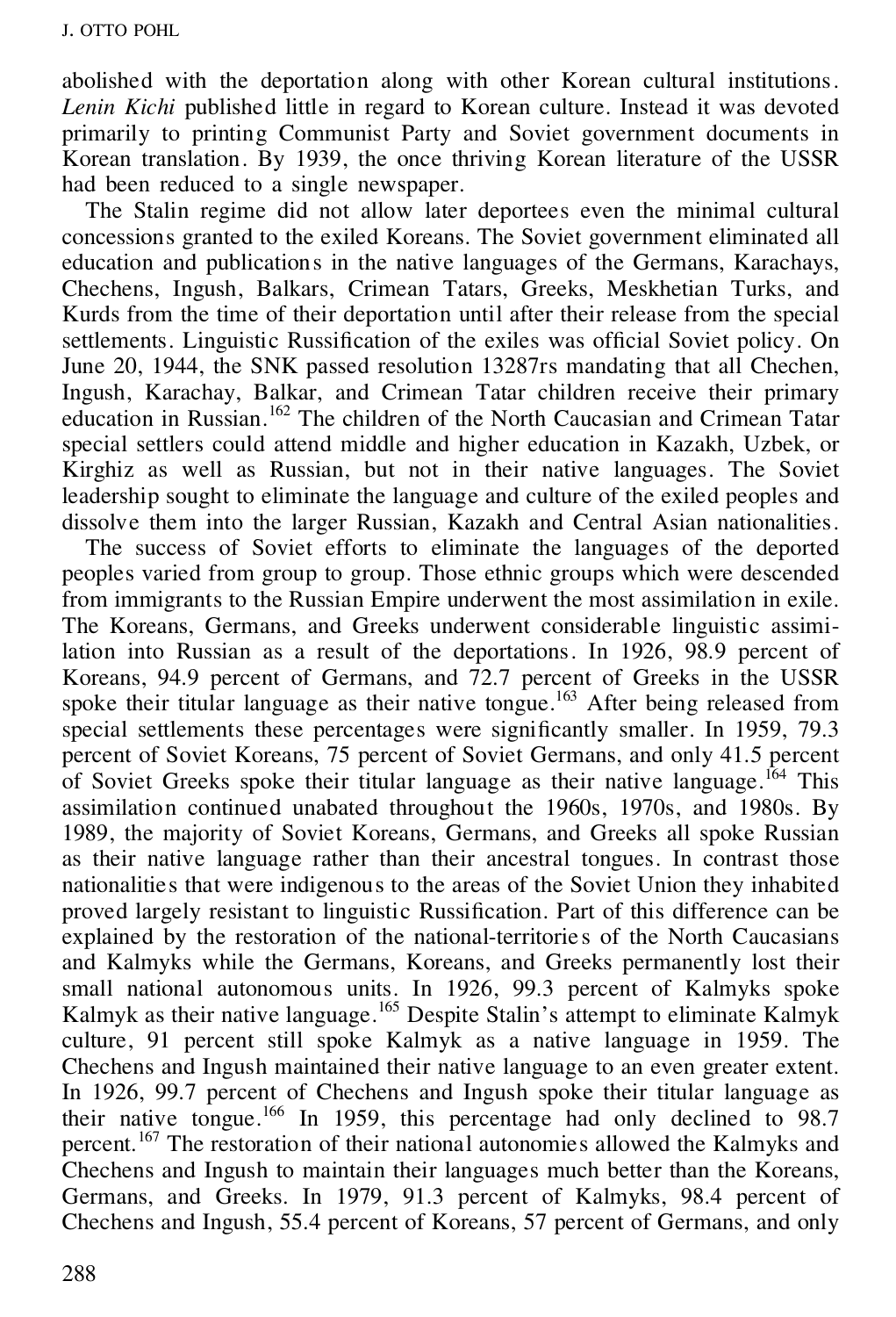abolished with the deportation along with other Korean cultural institutions. *Lenin Kichi* published little in regard to Korean culture. Instead it was devoted primarily to printing Communist Party and Soviet government documents in Korean translation. By 1939, the once thriving Korean literature of the USSR had been reduced to a single newspaper.

The Stalin regime did not allow later deportees even the minimal cultural concessions granted to the exiled Koreans. The Soviet government eliminated all education and publications in the native languages of the Germans, Karachays, Chechens, Ingush, Balkars, Crimean Tatars, Greeks, Meskhetian Turks, and Kurds from the time of their deportation until after their release from the special settlements. Linguistic Russification of the exiles was official Soviet policy. On June 20, 1944, the SNK passed resolution 13287rs mandating that all Chechen, Ingush, Karachay, Balkar, and Crimean Tatar children receive their primary education in Russian.<sup>162</sup> The children of the North Caucasian and Crimean Tatar special settlers could attend middle and higher education in Kazakh, Uzbek, or Kirghiz as well as Russian, but not in their native languages. The Soviet leadership sought to eliminate the language and culture of the exiled peoples and dissolve them into the larger Russian, Kazakh and Central Asian nationalities.

The success of Soviet efforts to eliminate the languages of the deported peoples varied from group to group. Those ethnic groups which were descended from immigrants to the Russian Empire underwent the most assimilation in exile. The Koreans, Germans, and Greeks underwent considerable linguistic assimilation into Russian as a result of the deportations. In 1926, 98.9 percent of Koreans, 94.9 percent of Germans, and 72.7 percent of Greeks in the USSR spoke their titular language as their native tongue.<sup>163</sup> After being released from special settlements these percentages were significantly smaller. In 1959, 79.3 percent of Soviet Koreans, 75 percent of Soviet Germans, and only 41.5 percent of Soviet Greeks spoke their titular language as their native language.<sup>164</sup> This assimilation continued unabated throughout the 1960s, 1970s, and 1980s. By 1989, the majority of Soviet Koreans, Germans, and Greeks all spoke Russian as their native language rather than their ancestral tongues. In contrast those nationalities that were indigenous to the areas of the Soviet Union they inhabited proved largely resistant to linguistic Russification. Part of this difference can be explained by the restoration of the national-territories of the North Caucasians and Kalmyks while the Germans, Koreans, and Greeks permanently lost their small national autonomous units. In 1926, 99.3 percent of Kalmyks spoke Kalmyk as their native language.<sup>165</sup> Despite Stalin's attempt to eliminate Kalmyk culture, 91 percent still spoke Kalmyk as a native language in 1959. The Chechens and Ingush maintained their native language to an even greater extent. In 1926, 99.7 percent of Chechens and Ingush spoke their titular language as their native tongue.<sup>166</sup> In 1959, this percentage had only declined to 98.7 percent.<sup>167</sup> The restoration of their national autonomies allowed the Kalmyks and Chechens and Ingush to maintain their languages much better than the Koreans, Germans, and Greeks. In 1979, 91.3 percent of Kalmyks, 98.4 percent of Chechens and Ingush, 55.4 percent of Koreans, 57 percent of Germans, and only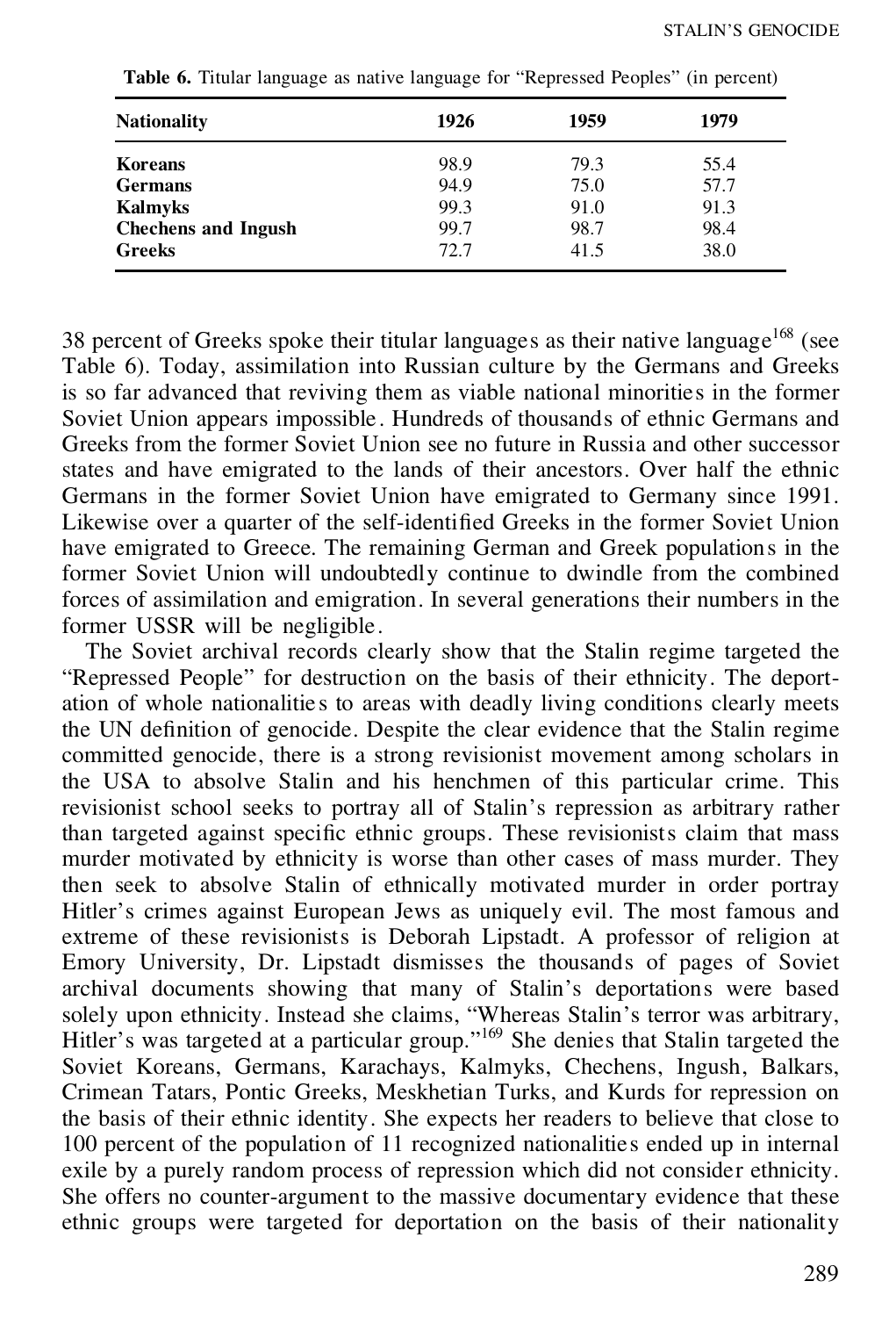| <b>Nationality</b>         | 1926 | 1959 | 1979 |
|----------------------------|------|------|------|
| Koreans                    | 98.9 | 79.3 | 55.4 |
| <b>Germans</b>             | 94.9 | 75.0 | 57.7 |
| <b>Kalmyks</b>             | 99.3 | 91.0 | 91.3 |
| <b>Chechens and Ingush</b> | 99.7 | 98.7 | 98.4 |
| <b>Greeks</b>              | 72.7 | 41.5 | 38.0 |

**Table 6.** Titular language as native language for "Repressed Peoples" (in percent)

38 percent of Greeks spoke their titular languages as their native language<sup>168</sup> (see Table 6). Today, assimilation into Russian culture by the Germans and Greeks is so far advanced that reviving them as viable national minorities in the former Soviet Union appears impossible . Hundreds of thousands of ethnic Germans and Greeks from the former Soviet Union see no future in Russia and other successor states and have emigrated to the lands of their ancestors. Over half the ethnic Germans in the former Soviet Union have emigrated to Germany since 1991. Likewise over a quarter of the self-identified Greeks in the former Soviet Union have emigrated to Greece. The remaining German and Greek populations in the former Soviet Union will undoubtedly continue to dwindle from the combined forces of assimilation and emigration. In several generations their numbers in the former USSR will be negligible.

The Soviet archival records clearly show that the Stalin regime targeted the "Repressed People" for destruction on the basis of their ethnicity. The deport ation of whole nationalitie s to areas with deadly living conditions clearly meets the UN definition of genocide. Despite the clear evidence that the Stalin regime committed genocide, there is a strong revisionist movement among scholars in the USA to absolve Stalin and his henchmen of this particular crime. This revisionist school seeks to portray all of Stalin's repression as arbitrary rather than targeted against specific ethnic groups. These revisionists claim that mass murder motivated by ethnicity is worse than other cases of mass murder. They then seek to absolve Stalin of ethnically motivated murder in order portray Hitler's crimes against European Jews as uniquely evil. The most famous and extreme of these revisionists is Deborah Lipstadt. A professor of religion at Emory University, Dr. Lipstadt dismisses the thousands of pages of Soviet archival documents showing that many of Stalin's deportations were based solely upon ethnicity. Instead she claims, "Whereas Stalin's terror was arbitrary, Hitler's was targeted at a particular group." <sup>169</sup> She denies that Stalin targeted the Soviet Koreans, Germans, Karachays, Kalmyks, Chechens, Ingush, Balkars, Crimean Tatars, Pontic Greeks, Meskhetian Turks, and Kurds for repression on the basis of their ethnic identity. She expects her readers to believe that close to 100 percent of the population of 11 recognized nationalities ended up in internal exile by a purely random process of repression which did not consider ethnicity. She offers no counter-argument to the massive documentary evidence that these ethnic groups were targeted for deportation on the basis of their nationality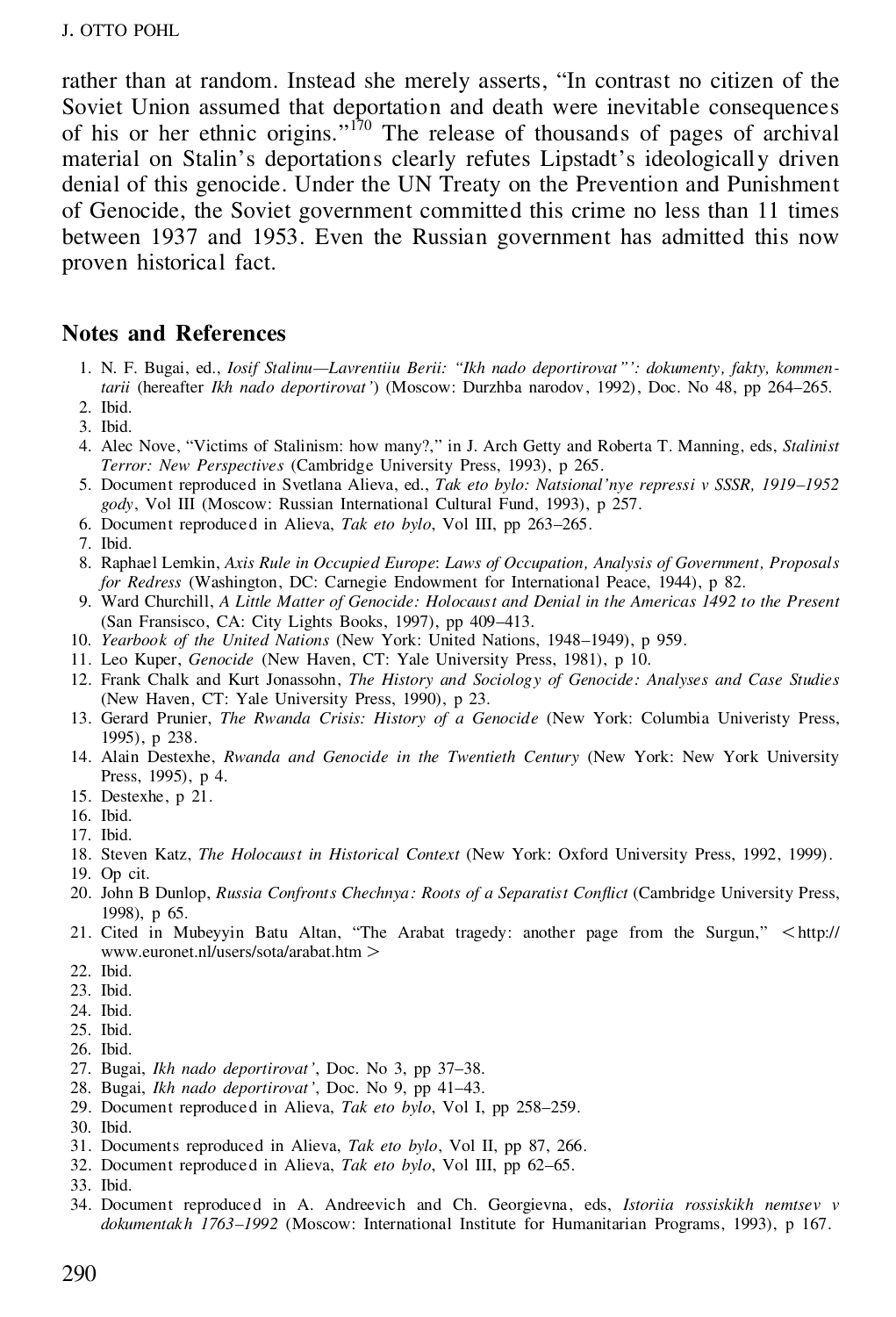rather than at random. Instead she merely asserts, "In contrast no citizen of the Soviet Union assumed that deportation and death were inevitable consequences of his or her ethnic origins."<sup>170</sup> The release of thousands of pages of archival material on Stalin's deportations clearly refutes Lipstadt's ideologically driven denial of this genocide. Under the UN Treaty on the Prevention and Punishment of Genocide, the Soviet government committed this crime no less than 11 times between 1937 and 1953. Even the Russian government has admitted this now proven historical fact.

## **Notes and References**

- 1. N. F. Bugai, ed., *Iosif Stalinu—Lavrentiiu Berii: "Ikh nado deportirovat"': dokumenty, fakty, kommentarii* (hereafter *Ikh nado deportirovat'*) (Moscow: Durzhba narodov, 1992), Doc. No 48, pp 264–265*.*
- 2. Ibid.
- 3. Ibid.
- 4. Alec Nove, "Victims of Stalinism: how many?," in J. Arch Getty and Roberta T. Manning, eds, *Stalinist Terror: New Perspectives* (Cambridge University Press, 1993), p 265.
- 5. Document reproduced in Svetlana Alieva, ed., *Tak eto bylo: Natsional'nye repressi v SSSR, 1919–1952 gody*, Vol III (Moscow: Russian International Cultural Fund, 1993), p 257.
- 6. Document reproduced in Alieva, *Tak eto bylo*, Vol III, pp 263–265.
- 7. Ibid.
- 8. Raphael Lemkin, *Axis Rule in Occupied Europe*: *Laws of Occupation, Analysis of Government, Proposals for Redress* (Washington, DC: Carnegie Endowment for International Peace, 1944), p 82.
- 9. Ward Churchill, *A Little Matter of Genocide: Holocaust and Denial in the Americas 1492 to the Present* (San Fransisco, CA: City Lights Books, 1997), pp 409–413.
- 10. *Yearbook of the United Nations* (New York: United Nations, 1948–1949), p 959.
- 11. Leo Kuper, *Genocide* (New Haven, CT: Yale University Press, 1981), p 10.
- 12. Frank Chalk and Kurt Jonassohn, *The History and Sociology of Genocide: Analyses and Case Studies* (New Haven, CT: Yale University Press, 1990), p 23.
- 13. Gerard Prunier, *The Rwanda Crisis: History of a Genocide* (New York: Columbia Univeristy Press, 1995), p 238.
- 14. Alain Destexhe, *Rwanda and Genocide in the Twentieth Century* (New York: New York University Press, 1995), p 4.
- 15. Destexhe, p 21.
- 16. Ibid.
- 17. Ibid.
- 18. Steven Katz, *The Holocaust in Historical Context* (New York: Oxford University Press, 1992, 1999).
- 19. Op cit.
- 20. John B Dunlop, *Russia Confronts Chechnya: Roots of a Separatist Conict* (Cambridge University Press, 1998), p 65.
- 21. Cited in Mubeyyin Batu Altan, "The Arabat tragedy: another page from the Surgun,"  $\lt$ http:// www.euronet.nl/users/sota/arabat.htm .
- 22. Ibid.
- 23. Ibid.
- 24. Ibid.
- 25. Ibid.
- 26. Ibid.
- 27. Bugai, *Ikh nado deportirovat'*, Doc. No 3, pp 37–38.
- 28. Bugai, *Ikh nado deportirovat'*, Doc. No 9, pp 41–43.
- 29. Document reproduced in Alieva, *Tak eto bylo*, Vol I, pp 258–259.
- 30. Ibid.
- 31. Documents reproduced in Alieva, *Tak eto bylo*, Vol II, pp 87, 266.
- 32. Document reproduced in Alieva, *Tak eto bylo*, Vol III, pp 62–65.
- 33. Ibid.
- 34. Document reproduced in A. Andreevich and Ch. Georgievna, eds, *Istoriia rossiskikh nemtsev v dokumentakh 1763–1992* (Moscow: International Institute for Humanitarian Programs, 1993), p 167.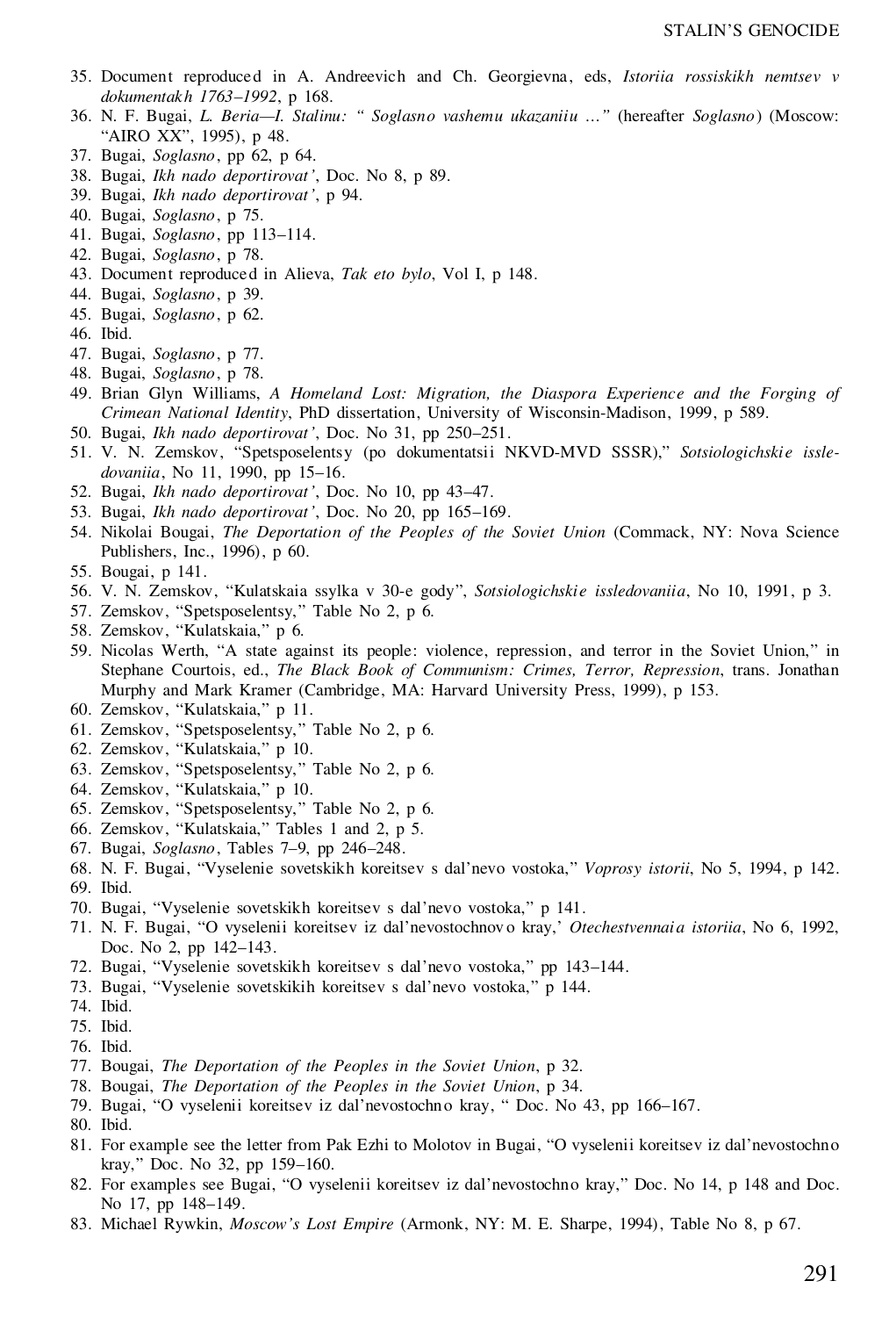- 35. Document reproduced in A. Andreevich and Ch. Georgievna, eds, *Istoriia rossiskikh nemtsev v dokumentakh 1763–1992*, p 168.
- 36. N. F. Bugai, *L. Beria—I. Stalinu: " Soglasno vashemu ukazaniiu …"* (hereafter *Soglasno*) (Moscow: "AIRO XX", 1995), p 48.
- 37. Bugai, *Soglasno*, pp 62, p 64.
- 38. Bugai, *Ikh nado deportirovat'*, Doc. No 8, p 89.
- 39. Bugai, *Ikh nado deportirovat'*, p 94.
- 40. Bugai, *Soglasno*, p 75.
- 41. Bugai, *Soglasno*, pp 113–114.
- 42. Bugai, *Soglasno*, p 78.
- 43. Document reproduced in Alieva, *Tak eto bylo*, Vol I, p 148.
- 44. Bugai, *Soglasno*, p 39.
- 45. Bugai, *Soglasno*, p 62.
- 46. Ibid.
- 47. Bugai, *Soglasno*, p 77.
- 48. Bugai, *Soglasno*, p 78.
- 49. Brian Glyn Williams, *A Homeland Lost: Migration, the Diaspora Experience and the Forging of Crimean National Identity*, PhD dissertation, University of Wisconsin-Madison, 1999, p 589.
- 50. Bugai, *Ikh nado deportirovat'*, Doc. No 31, pp 250–251.
- 51. V. N. Zemskov, "Spetsposelentsy (po dokumentatsii NKVD-MVD SSSR)," *Sotsiologichskie issle dovaniia*, No 11, 1990, pp 15–16.
- 52. Bugai, *Ikh nado deportirovat'*, Doc. No 10, pp 43–47.
- 53. Bugai, *Ikh nado deportirovat'*, Doc. No 20, pp 165–169.
- 54. Nikolai Bougai, *The Deportation of the Peoples of the Soviet Union* (Commack, NY: Nova Science Publishers, Inc., 1996), p 60.
- 55. Bougai, p 141.
- 56. V. N. Zemskov, "Kulatskaia ssylka v 30-e gody", *Sotsiologichskie issledovaniia*, No 10, 1991, p 3.
- 57. Zemskov, "Spetsposelentsy," Table No 2, p 6.
- 58. Zemskov, "Kulatskaia," p 6.
- 59. Nicolas Werth, "A state against its people: violence, repression, and terror in the Soviet Union," in Stephane Courtois, ed., *The Black Book of Communism: Crimes, Terror, Repression*, trans. Jonathan Murphy and Mark Kramer (Cambridge, MA: Harvard University Press, 1999), p 153.
- 60. Zemskov, "Kulatskaia," p 11.
- 61. Zemskov, "Spetsposelentsy," Table No 2, p 6.
- 62. Zemskov, "Kulatskaia," p 10.
- 63. Zemskov, "Spetsposelentsy," Table No 2, p 6.
- 64. Zemskov, "Kulatskaia," p 10.
- 65. Zemskov, "Spetsposelentsy," Table No 2, p 6.
- 66. Zemskov, "Kulatskaia," Tables 1 and 2, p 5.
- 67. Bugai, *Soglasno*, Tables 7–9, pp 246–248.
- 68. N. F. Bugai, "Vyselenie sovetskikh koreitsev s dal'nevo vostoka," *Voprosy istorii*, No 5, 1994, p 142. 69. Ibid.
- 70. Bugai, "Vyselenie sovetskikh koreitsev s dal'nevo vostoka," p 141.
- 71. N. F. Bugai, "O vyselenii koreitsev iz dal'nevostochnov o kray,' *Otechestvennaia istoriia*, No 6, 1992, Doc. No 2, pp 142–143.
- 72. Bugai, "Vyselenie sovetskikh koreitsev s dal'nevo vostoka," pp 143–144.
- 73. Bugai, "Vyselenie sovetskikih koreitsev s dal'nevo vostoka," p 144.
- 74. Ibid.
- 75. Ibid.
- 76. Ibid.
- 77. Bougai, *The Deportation of the Peoples in the Soviet Union*, p 32.
- 78. Bougai, *The Deportation of the Peoples in the Soviet Union*, p 34.
- 79. Bugai, "O vyselenii koreitsev iz dal'nevostochno kray, " Doc. No 43, pp 166–167.
- 80. Ibid.
- 81. For example see the letter from Pak Ezhi to Molotov in Bugai, "O vyselenii koreitsev iz dal'nevostochno kray," Doc. No 32, pp 159–160.
- 82. For examples see Bugai, "O vyselenii koreitsev iz dal'nevostochno kray," Doc. No 14, p 148 and Doc. No 17, pp 148–149.
- 83. Michael Rywkin, *Moscow's Lost Empire* (Armonk, NY: M. E. Sharpe, 1994), Table No 8, p 67.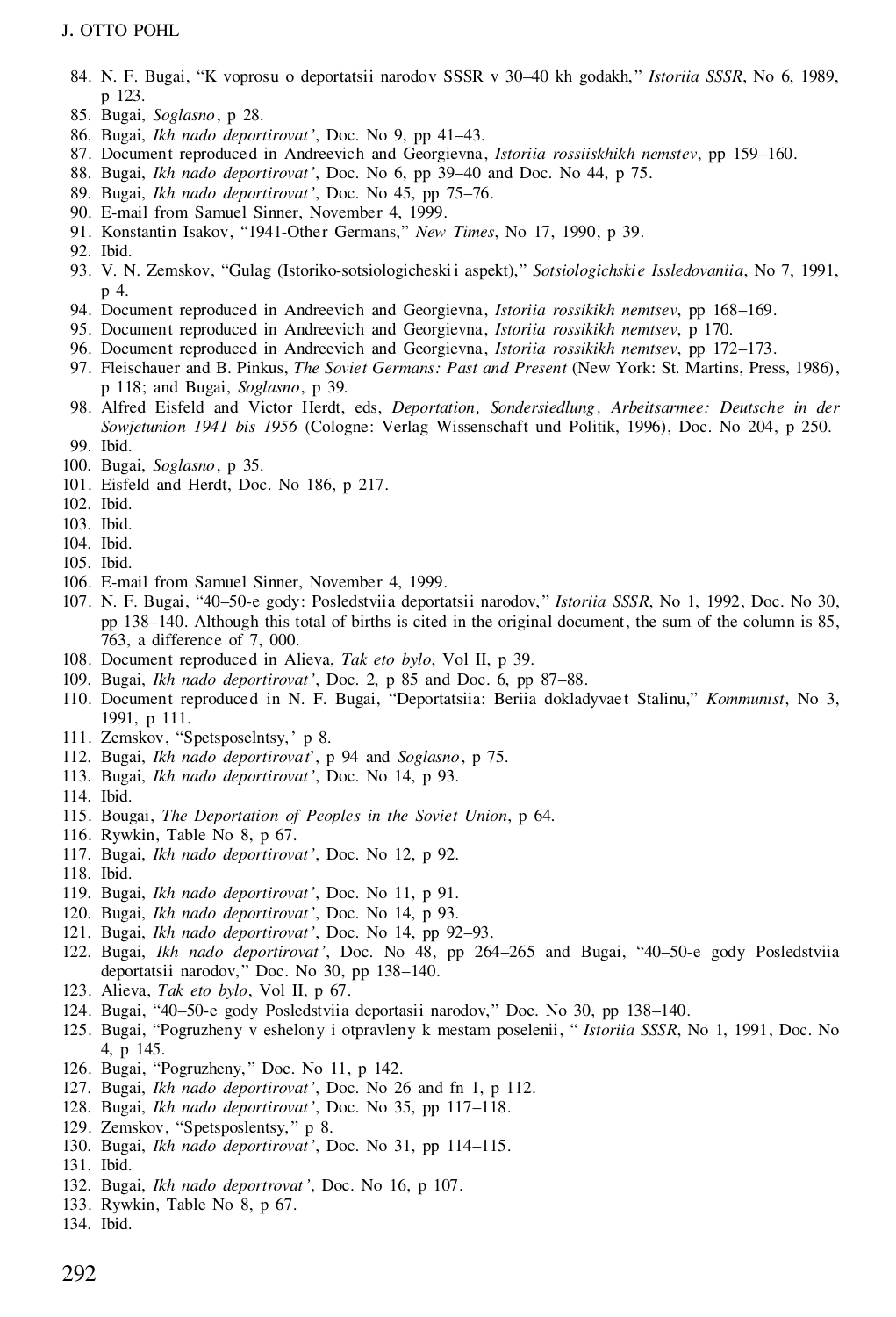## J. OTTO POHL

- 84. N. F. Bugai, "K voprosu o deportatsii narodov SSSR v 30–40 kh godakh, " *Istoriia SSSR*, No 6, 1989, p 123.
- 85. Bugai, *Soglasno*, p 28.
- 86. Bugai, *Ikh nado deportirovat'*, Doc. No 9, pp 41–43.
- 87. Document reproduced in Andreevich and Georgievna, *Istoriia rossiiskhikh nemstev*, pp 159–160.
- 88. Bugai, *Ikh nado deportirovat'*, Doc. No 6, pp 39–40 and Doc. No 44, p 75.
- 89. Bugai, *Ikh nado deportirovat'*, Doc. No 45, pp 75–76.
- 90. E-mail from Samuel Sinner, November 4, 1999.
- 91. Konstantin Isakov, "1941-Other Germans," *New Times*, No 17, 1990, p 39.
- 92. Ibid.
- 93. V. N. Zemskov, "Gulag (Istoriko-sotsiologicheski i aspekt)," *Sotsiologichskie Issledovaniia*, No 7, 1991, p 4.
- 94. Document reproduced in Andreevich and Georgievna, *Istoriia rossikikh nemtsev*, pp 168–169.
- 95. Document reproduced in Andreevich and Georgievna, *Istoriia rossikikh nemtsev*, p 170.
- 96. Document reproduced in Andreevich and Georgievna, *Istoriia rossikikh nemtsev*, pp 172–173.
- 97. Fleischauer and B. Pinkus, *The Soviet Germans: Past and Present* (New York: St. Martins, Press, 1986), p 118; and Bugai, *Soglasno*, p 39*.*
- 98. Alfred Eisfeld and Victor Herdt, eds, *Deportation, Sondersiedlung , Arbeitsarmee: Deutsche in der Sowjetunion 1941 bis 1956* (Cologne: Verlag Wissenschaft und Politik, 1996), Doc. No 204, p 250. 99. Ibid.
- 100. Bugai, *Soglasno*, p 35.
- 101. Eisfeld and Herdt, Doc. No 186, p 217.
- 102. Ibid.
- 103. Ibid.
- 104. Ibid.
- 105. Ibid.
- 106. E-mail from Samuel Sinner, November 4, 1999.
- 107. N. F. Bugai, "40–50-e gody: Posledstviia deportatsii narodov, " *Istoriia SSSR*, No 1, 1992, Doc. No 30, pp 138–140. Although this total of births is cited in the original document, the sum of the column is 85, 763, a difference of 7, 000.
- 108. Document reproduced in Alieva, *Tak eto bylo*, Vol II, p 39.
- 109. Bugai, *Ikh nado deportirovat'*, Doc. 2, p 85 and Doc. 6, pp 87–88.
- 110. Document reproduced in N. F. Bugai, "Deportatsiia: Beriia dokladyvae t Stalinu," *Kommunist*, No 3, 1991, p 111.
- 111. Zemskov, "Spetsposelntsy,' p 8.
- 112. Bugai, *Ikh nado deportirovat*', p 94 and *Soglasno*, p 75.
- 113. Bugai, *Ikh nado deportirovat'*, Doc. No 14, p 93.
- 114. Ibid.
- 115. Bougai, *The Deportation of Peoples in the Soviet Union*, p 64.
- 116. Rywkin, Table No 8, p 67.
- 117. Bugai, *Ikh nado deportirovat'*, Doc. No 12, p 92.
- 118. Ibid.
- 119. Bugai, *Ikh nado deportirovat'*, Doc. No 11, p 91.
- 120. Bugai, *Ikh nado deportirovat'*, Doc. No 14, p 93.
- 121. Bugai, *Ikh nado deportirovat'*, Doc. No 14, pp 92–93.
- 122. Bugai, *Ikh nado deportirovat'*, Doc. No 48, pp 264–265 and Bugai, "40–50-e gody Posledstviia deportatsii narodov," Doc. No 30, pp 138–140.
- 123. Alieva, *Tak eto bylo*, Vol II, p 67.
- 124. Bugai, "40–50-e gody Posledstviia deportasii narodov," Doc. No 30, pp 138–140.
- 125. Bugai, "Pogruzheny v eshelony iotpravleny k mestam poselenii, " *Istoriia SSSR*, No 1, 1991, Doc. No 4, p 145.
- 126. Bugai, "Pogruzheny, " Doc. No 11, p 142.
- 127. Bugai, *Ikh nado deportirovat'*, Doc. No 26 and fn 1, p 112.
- 128. Bugai, *Ikh nado deportirovat'*, Doc. No 35, pp 117–118.
- 129. Zemskov, "Spetsposlentsy, " p 8.
- 130. Bugai, *Ikh nado deportirovat'*, Doc. No 31, pp 114–115.
- 131. Ibid.
- 132. Bugai, *Ikh nado deportrovat'*, Doc. No 16, p 107.
- 133. Rywkin, Table No 8, p 67.
- 134. Ibid.